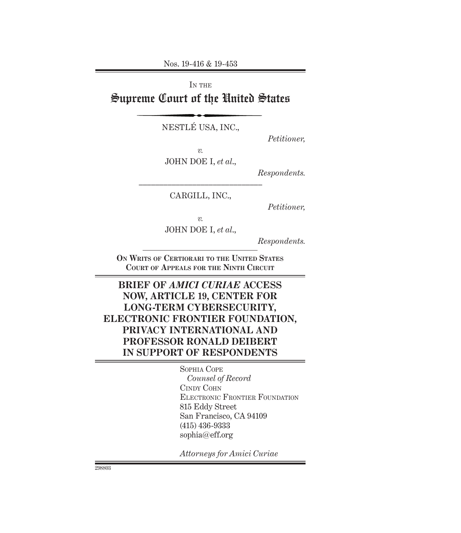Nos. 19-416 & 19-453

IN THE Supreme Court of the United States

NESTLÉ USA, INC.,

*Petitioner,*

*v.*

JOHN DOE I, *et al*.,

*Respondents.*

–––––––––––––––––––––––––––––– CARGILL, INC.,

*Petitioner,*

*v.*

JOHN DOE I, *et al*.,

*Respondents.*

**On Writs of Certiorari to the United States Court of Appeals for the Ninth Circuit**

# **BRIEF OF** *AMICI CURIAE* **ACCESS NOW, ARTICLE 19, CENTER FOR LONG-TERM CYBERSECURITY, ELECTRONIC FRONTIER FOUNDATION, PRIVACY INTERNATIONAL AND PROFESSOR RONALD DEIBERT IN SUPPORT OF RESPONDENTS**

Sophia Cope *Counsel of Record* Cindy Cohn Electronic Frontier Foundation 815 Eddy Street San Francisco, CA 94109 (415) 436-9333 sophia@eff.org

*Attorneys for Amici Curiae*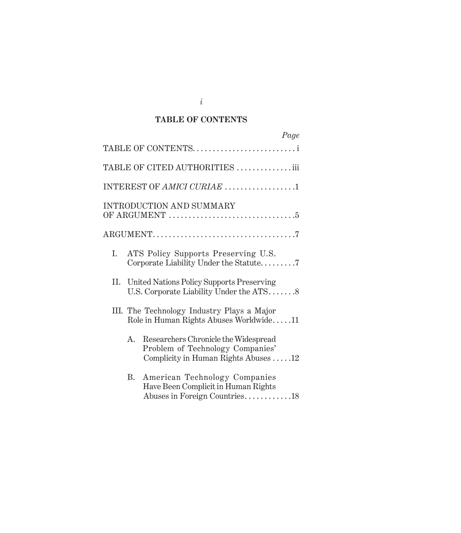### **TABLE OF CONTENTS**

| Page                                                                                                                   |
|------------------------------------------------------------------------------------------------------------------------|
| TABLE OF CONTENTS                                                                                                      |
| TABLE OF CITED AUTHORITIES iii                                                                                         |
| INTEREST OF AMICI CURIAE 1                                                                                             |
| INTRODUCTION AND SUMMARY                                                                                               |
|                                                                                                                        |
| ATS Policy Supports Preserving U.S.<br>Ι.<br>Corporate Liability Under the Statute7                                    |
| II. United Nations Policy Supports Preserving<br>U.S. Corporate Liability Under the ATS8                               |
| III. The Technology Industry Plays a Major<br>Role in Human Rights Abuses Worldwide11                                  |
| Researchers Chronicle the Widespread<br>A.<br>Problem of Technology Companies'<br>Complicity in Human Rights Abuses 12 |
| American Technology Companies<br>В.<br>Have Been Complicit in Human Rights<br>Abuses in Foreign Countries18            |

*i*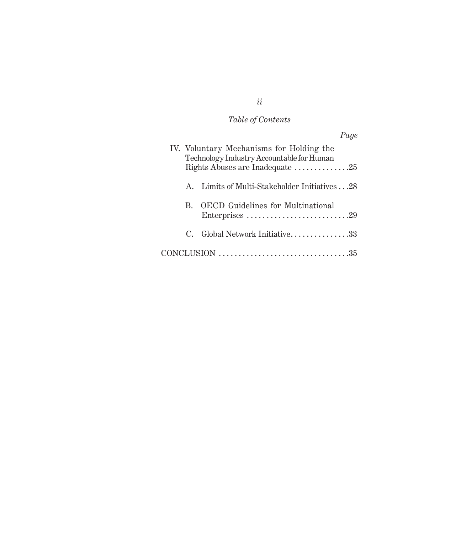# *Table of Contents*

|              |                                                                                                                          | Page |
|--------------|--------------------------------------------------------------------------------------------------------------------------|------|
|              | IV. Voluntary Mechanisms for Holding the<br>Technology Industry Accountable for Human<br>Rights Abuses are Inadequate 25 |      |
| $\mathbf{A}$ | Limits of Multi-Stakeholder Initiatives 28                                                                               |      |
| $B_{\rm c}$  | <b>OECD</b> Guidelines for Multinational                                                                                 |      |
| $\mathbf{C}$ | Global Network Initiative33                                                                                              |      |
|              | $CONCLUSION \dots \dots \dots \dots \dots \dots \dots \dots \dots \dots \dots \35$                                       |      |

# *ii*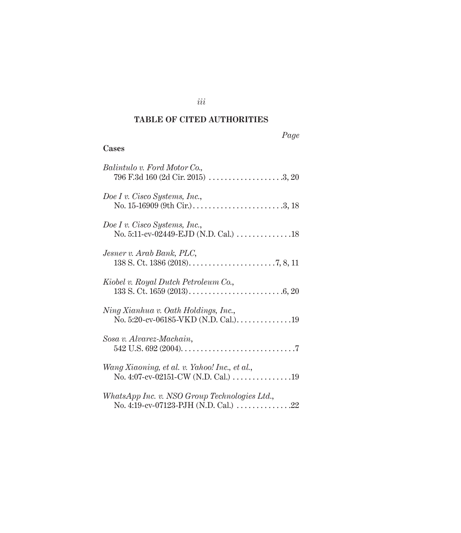### **TABLE OF CITED AUTHORITIES**

|--|

# **Cases**

| Balintulo v. Ford Motor Co.,<br>796 F.3d 160 (2d Cir. 2015) 3, 20                                                |
|------------------------------------------------------------------------------------------------------------------|
| Doe I v. Cisco Systems, Inc.,<br>No. 15-16909 (9th Cir.) $\dots \dots \dots \dots \dots \dots \dots \dots \dots$ |
| Doe I v. Cisco Systems, Inc.,<br>No. 5:11-cv-02449-EJD (N.D. Cal.) 18                                            |
| Jesner v. Arab Bank, PLC,                                                                                        |
| Kiobel v. Royal Dutch Petroleum Co.,                                                                             |
| Ning Xianhua v. Oath Holdings, Inc.,<br>No. 5:20-cv-06185-VKD (N.D. Cal.). 19                                    |
| Sosa v. Alvarez-Machain,                                                                                         |
| Wang Xiaoning, et al. v. Yahoo! Inc., et al.,<br>No. 4:07-cv-02151-CW (N.D. Cal.) 19                             |
| WhatsApp Inc. v. NSO Group Technologies Ltd.,<br>No. 4:19-cv-07123-PJH (N.D. Cal.) $\dots\dots\dots\dots 22$     |

*iii*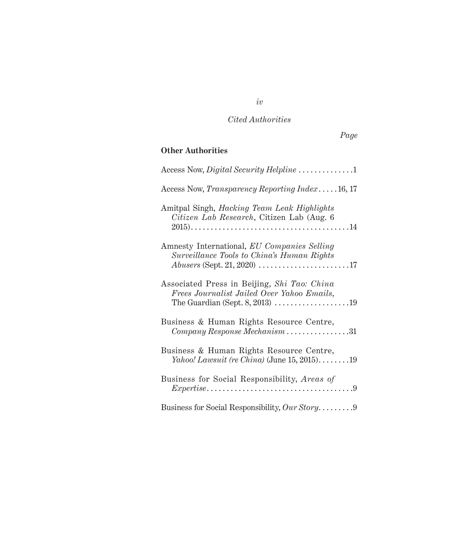# *Page*

# **Other Authorities**

| Access Now, <i>Transparency Reporting Index.</i> 16, 17                                         |
|-------------------------------------------------------------------------------------------------|
| Amitpal Singh, <i>Hacking Team Leak Highlights</i><br>Citizen Lab Research, Citizen Lab (Aug. 6 |
| Amnesty International, EU Companies Selling<br>Surveillance Tools to China's Human Rights       |
| Associated Press in Beijing, Shi Tao: China<br>Frees Journalist Jailed Over Yahoo Emails,       |
| Business & Human Rights Resource Centre,                                                        |
| Business & Human Rights Resource Centre,<br>Yahoo! Lawsuit (re China) (June 15, 2015)19         |
| Business for Social Responsibility, Areas of                                                    |
| Business for Social Responsibility, Our Story9                                                  |

*iv*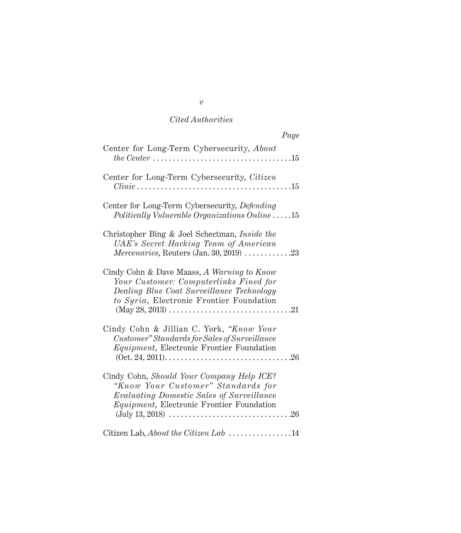| Page                                                                                                                                                                                                            |
|-----------------------------------------------------------------------------------------------------------------------------------------------------------------------------------------------------------------|
| Center for Long-Term Cybersecurity, About                                                                                                                                                                       |
| Center for Long-Term Cybersecurity, Citizen<br>$Clinic \ldots \ldots \ldots \ldots \ldots \ldots \ldots \ldots \ldots \ldots \ldots 15$                                                                         |
| Center for Long-Term Cybersecurity, Defending<br>$Politically\ Vulnerable\ Organizations\ Online \ldots.15$                                                                                                     |
| Christopher Bing & Joel Schectman, Inside the<br>UAE's Secret Hacking Team of American<br>Mercenaries, Reuters (Jan. 30, 2019) $\ldots$ 23                                                                      |
| Cindy Cohn & Dave Maass, A Warning to Know<br>Your Customer: Computerlinks Fined for<br>Dealing Blue Coat Surveillance Technology<br>to Syria, Electronic Frontier Foundation                                   |
| Cindy Cohn & Jillian C. York, "Know Your<br>Customer" Standards for Sales of Surveillance<br><i>Equipment</i> , Electronic Frontier Foundation                                                                  |
| Cindy Cohn, Should Your Company Help ICE?<br>"Know Your Customer" Standards for<br>Evaluating Domestic Sales of Surveillance<br><i>Equipment</i> , Electronic Frontier Foundation<br>$(July 13, 2018) \dots 26$ |
| Citizen Lab, About the Citizen Lab 14                                                                                                                                                                           |

*v*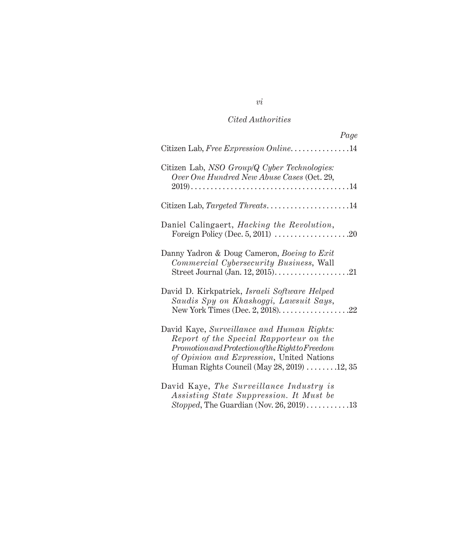| Page                                                                                                                                                                                                                                      |
|-------------------------------------------------------------------------------------------------------------------------------------------------------------------------------------------------------------------------------------------|
| Citizen Lab, Free Expression Online14                                                                                                                                                                                                     |
| Citizen Lab, NSO Group/Q Cyber Technologies:<br>Over One Hundred New Abuse Cases (Oct. 29,                                                                                                                                                |
| Citizen Lab, Targeted Threats14                                                                                                                                                                                                           |
| Daniel Calingaert, <i>Hacking the Revolution</i> ,                                                                                                                                                                                        |
| Danny Yadron & Doug Cameron, Boeing to Exit<br>Commercial Cybersecurity Business, Wall<br>Street Journal (Jan. 12, 2015). $\dots\dots\dots\dots\dots\dots 21$                                                                             |
| David D. Kirkpatrick, Israeli Software Helped<br>Saudis Spy on Khashoggi, Lawsuit Says,                                                                                                                                                   |
| David Kaye, Surveillance and Human Rights:<br>Report of the Special Rapporteur on the<br>$Promotion and Protection of the Right to Freedom$<br>of Opinion and Expression, United Nations<br>Human Rights Council (May $28, 2019$ ) 12, 35 |
| David Kaye, The Surveillance Industry is<br>Assisting State Suppression. It Must be<br>Stopped, The Guardian (Nov. 26, 2019)13                                                                                                            |

*vi*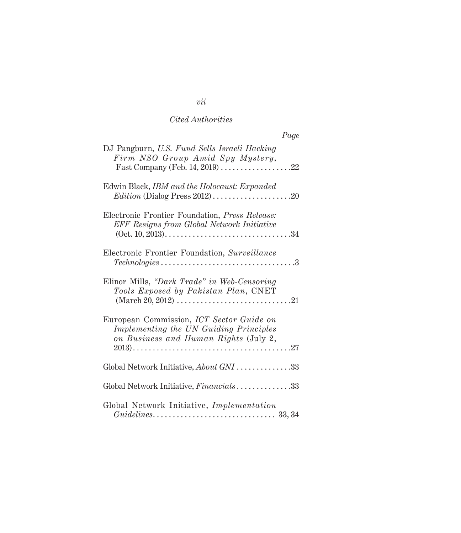| Page                                                                                                                                        |
|---------------------------------------------------------------------------------------------------------------------------------------------|
| DJ Pangburn, U.S. Fund Sells Israeli Hacking<br>Firm NSO Group Amid Spy Mystery,<br>Fast Company (Feb. 14, 2019) 22                         |
| Edwin Black, IBM and the Holocaust: Expanded                                                                                                |
| Electronic Frontier Foundation, Press Release:<br><b>EFF</b> Resigns from Global Network Initiative                                         |
| Electronic Frontier Foundation, Surveillance<br>$\textit{Technologies} \dots \dots \dots \dots \dots \dots \dots \dots \dots \dots \dots 3$ |
| Elinor Mills, "Dark Trade" in Web-Censoring<br>Tools Exposed by Pakistan Plan, CNET                                                         |
| European Commission, ICT Sector Guide on<br>Implementing the UN Guiding Principles<br>on Business and Human Rights (July 2,                 |
| Global Network Initiative, About GNI 33                                                                                                     |
| Global Network Initiative, Financials33                                                                                                     |
| Global Network Initiative, Implementation                                                                                                   |

# *vii*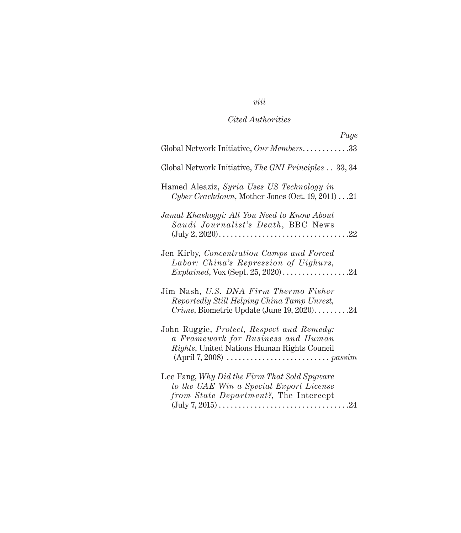# *viii*

# *Cited Authorities*

| Page                                                                                                                                         |
|----------------------------------------------------------------------------------------------------------------------------------------------|
| Global Network Initiative, Our Members33                                                                                                     |
| Global Network Initiative, The GNI Principles 33, 34                                                                                         |
| Hamed Aleaziz, Syria Uses US Technology in<br>Cyber Crackdown, Mother Jones (Oct. 19, 2011)  21                                              |
| Jamal Khashoggi: All You Need to Know About<br>Saudi Journalist's Death, BBC News                                                            |
| Jen Kirby, Concentration Camps and Forced<br>Labor: China's Repression of Uighurs,                                                           |
| Jim Nash, U.S. DNA Firm Thermo Fisher<br>Reportedly Still Helping China Tamp Unrest,<br><i>Crime</i> , Biometric Update (June $19, 2020$ )24 |
| John Ruggie, Protect, Respect and Remedy:<br>a Framework for Business and Human<br>Rights, United Nations Human Rights Council               |
| Lee Fang, Why Did the Firm That Sold Spyware<br>to the UAE Win a Special Export License<br>from State Department?, The Intercept             |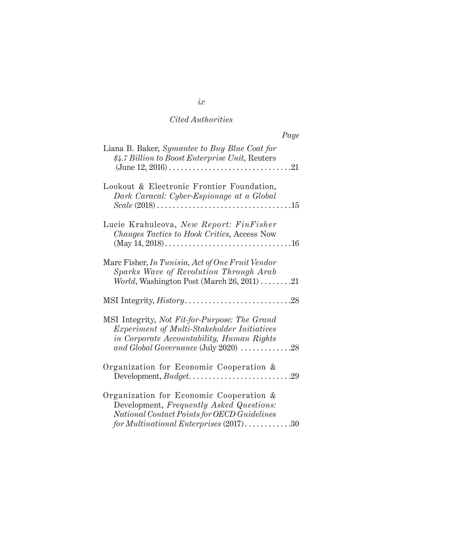|                                                                                                                                                                                                                        | Page |
|------------------------------------------------------------------------------------------------------------------------------------------------------------------------------------------------------------------------|------|
| Liana B. Baker, Symantec to Buy Blue Coat for<br>\$4.7 Billion to Boost Enterprise Unit, Reuters                                                                                                                       |      |
| Lookout & Electronic Frontier Foundation,<br>Dark Caracal: Cyber-Espionage at a Global<br>$Scale (2018) \ldots \ldots \ldots \ldots \ldots \ldots \ldots \ldots \ldots \ldots 15$                                      |      |
| Lucie Krahulcova, New Report: FinFisher<br>Changes Tactics to Hook Critics, Access Now                                                                                                                                 |      |
| Marc Fisher, In Tunisia, Act of One Fruit Vendor<br>Sparks Wave of Revolution Through Arab<br><i>World</i> , Washington Post (March $26, 2011$ ) 21                                                                    |      |
|                                                                                                                                                                                                                        |      |
| MSI Integrity, Not Fit-for-Purpose: The Grand<br>Experiment of Multi-Stakeholder Initiatives<br>in Corporate Accountability, Human Rights<br>and Global Governance (July 2020) $\ldots \ldots \ldots \ldots \ldots$ 28 |      |
| Organization for Economic Cooperation &                                                                                                                                                                                |      |
| Organization for Economic Cooperation &<br>Development, Frequently Asked Questions:<br>National Contact Points for OECD Guidelines<br>for Multinational Enterprises $(2017)$ 30                                        |      |

*ix*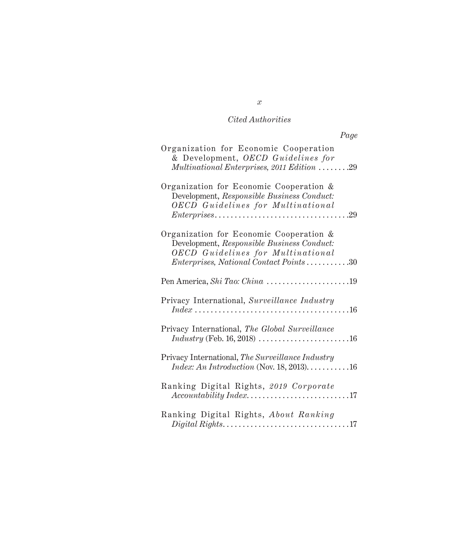| Page                                                                                                                                                                                                                                              |
|---------------------------------------------------------------------------------------------------------------------------------------------------------------------------------------------------------------------------------------------------|
| Organization for Economic Cooperation<br>& Development, OECD Guidelines for<br>Multinational Enterprises, 2011 Edition 29                                                                                                                         |
| Organization for Economic Cooperation &<br>Development, Responsible Business Conduct:<br><b>OECD</b> Guidelines for Multinational<br>$Enter prizes \ldots \ldots \ldots \ldots \ldots \ldots \ldots \ldots \ldots \ldots \ldots \ldots \ldots 29$ |
| Organization for Economic Cooperation &<br>Development, Responsible Business Conduct:<br><b>OECD</b> Guidelines for Multinational<br><i>Enterprises, National Contact Points30</i>                                                                |
| Pen America, Shi Tao: China 19                                                                                                                                                                                                                    |
| Privacy International, Surveillance Industry<br>$Index \ldots \ldots \ldots \ldots \ldots \ldots \ldots \ldots \ldots \ldots \ldots \ldots 16$                                                                                                    |
| Privacy International, The Global Surveillance<br><i>Industry</i> (Feb. 16, 2018) $\ldots \ldots \ldots \ldots \ldots \ldots \ldots \ldots 16$                                                                                                    |
| Privacy International, The Surveillance Industry<br>$Index: An Introduction (Nov. 18, 2013).$ 16                                                                                                                                                  |
| Ranking Digital Rights, 2019 Corporate                                                                                                                                                                                                            |
| Ranking Digital Rights, About Ranking                                                                                                                                                                                                             |

*x*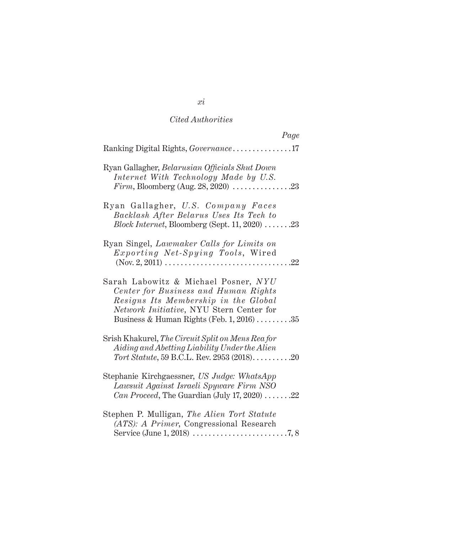| Page                                                                                                                                                                                                                        |
|-----------------------------------------------------------------------------------------------------------------------------------------------------------------------------------------------------------------------------|
| Ranking Digital Rights, Governance17                                                                                                                                                                                        |
| Ryan Gallagher, Belarusian Officials Shut Down<br>Internet With Technology Made by U.S.                                                                                                                                     |
| Ryan Gallagher, U.S. Company Faces<br>Backlash After Belarus Uses Its Tech to<br>$Block\ Internet, Bloomberg$ (Sept. 11, 2020) 23                                                                                           |
| Ryan Singel, Lawmaker Calls for Limits on<br>Exporting Net-Spying Tools, Wired                                                                                                                                              |
| Sarah Labowitz & Michael Posner, NYU<br>Center for Business and Human Rights<br>Resigns Its Membership in the Global<br>Network Initiative, NYU Stern Center for<br>Business & Human Rights (Feb. 1, 2016) $\dots \dots 35$ |
| Srish Khakurel, The Circuit Split on Mens Rea for<br>Aiding and Abetting Liability Under the Alien<br>Tort Statute, 59 B.C.L. Rev. 2953 (2018)20                                                                            |
| Stephanie Kirchgaessner, US Judge: WhatsApp<br>Lawsuit Against Israeli Spyware Firm NSO<br><i>Can Proceed</i> , The Guardian (July 17, 2020) $\ldots \ldots$ .22                                                            |
| Stephen P. Mulligan, The Alien Tort Statute<br>(ATS): A Primer, Congressional Research                                                                                                                                      |

*xi*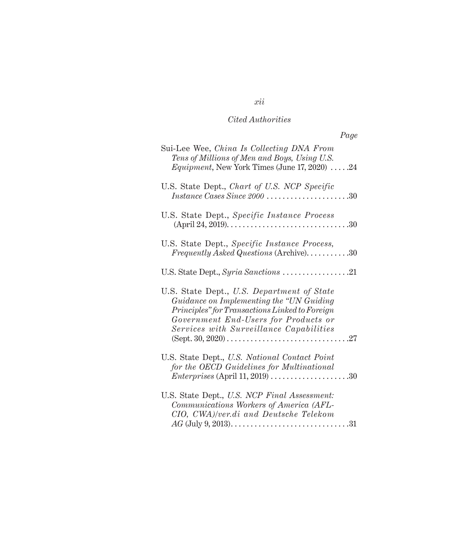| Page                                                                                                                                                                                                                         |
|------------------------------------------------------------------------------------------------------------------------------------------------------------------------------------------------------------------------------|
| Sui-Lee Wee, China Is Collecting DNA From<br>Tens of Millions of Men and Boys, Using U.S.<br><i>Equipment</i> , New York Times (June $17, 2020)$ 24                                                                          |
| U.S. State Dept., Chart of U.S. NCP Specific<br>$Instance \; Cases \; Since \; 2000 \; 30$                                                                                                                                   |
| U.S. State Dept., Specific Instance Process                                                                                                                                                                                  |
| U.S. State Dept., Specific Instance Process,<br>Frequently Asked Questions (Archive)30                                                                                                                                       |
|                                                                                                                                                                                                                              |
| U.S. State Dept., U.S. Department of State<br>Guidance on Implementing the "UN Guiding"<br>Principles" for Transactions Linked to Foreign<br>Government End-Users for Products or<br>Services with Surveillance Capabilities |
| U.S. State Dept., U.S. National Contact Point<br>for the OECD Guidelines for Multinational<br><i>Enterprises</i> (April 11, 2019) $\ldots \ldots \ldots \ldots \ldots \ldots \ldots 30$                                      |
| U.S. State Dept., U.S. NCP Final Assessment:<br>Communications Workers of America (AFL-<br>CIO, CWA)/ver.di and Deutsche Telekom                                                                                             |

# *xii*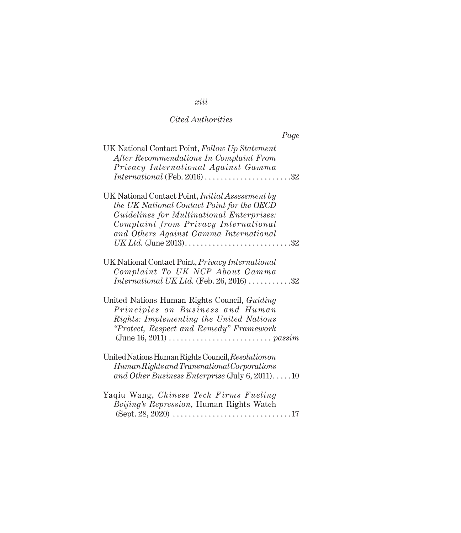# *xiii Cited Authorities*

| Page                                                                                                                                                                                                                                                                                  |  |
|---------------------------------------------------------------------------------------------------------------------------------------------------------------------------------------------------------------------------------------------------------------------------------------|--|
| UK National Contact Point, Follow Up Statement<br>After Recommendations In Complaint From<br>Privacy International Against Gamma<br><i>International</i> (Feb. 2016) $\ldots \ldots \ldots \ldots \ldots \ldots \ldots 32$                                                            |  |
| UK National Contact Point, <i>Initial Assessment by</i><br>the UK National Contact Point for the OECD<br>Guidelines for Multinational Enterprises:<br>Complaint from Privacy International<br>and Others Against Gamma International                                                  |  |
| UK National Contact Point, Privacy International<br>Complaint To UK NCP About Gamma<br><i>International UK Ltd.</i> (Feb. 26, 2016) $\ldots \ldots \ldots 32$                                                                                                                         |  |
| United Nations Human Rights Council, Guiding<br>Principles on Business and Human<br>Rights: Implementing the United Nations<br>"Protect, Respect and Remedy" Framework<br>(June 16, 2011) $\dots \dots \dots \dots \dots \dots \dots \dots \dots \dots \dots \dots \dots \dots \dots$ |  |
| United Nations Human Rights Council, Resolution on<br>Human Rights and Transnational Corporations<br>and Other Business Enterprise (July 6, 2011)10                                                                                                                                   |  |
| Yaqiu Wang, Chinese Tech Firms Fueling<br>Beijing's Repression, Human Rights Watch<br>$(Sept. 28, 2020) \ldots \ldots \ldots \ldots \ldots \ldots \ldots \ldots \ldots 17$                                                                                                            |  |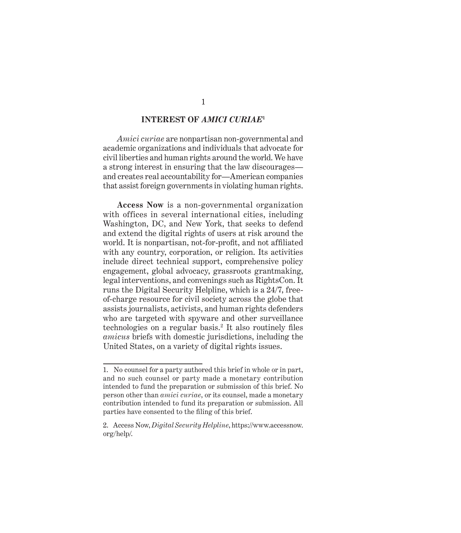#### **INTEREST OF** *AMICI CURIAE***<sup>1</sup>**

*Amici curiae* are nonpartisan non-governmental and academic organizations and individuals that advocate for civil liberties and human rights around the world. We have a strong interest in ensuring that the law discourages and creates real accountability for—American companies that assist foreign governments in violating human rights.

**Access Now** is a non-governmental organization with offices in several international cities, including Washington, DC, and New York, that seeks to defend and extend the digital rights of users at risk around the world. It is nonpartisan, not-for-profit, and not affiliated with any country, corporation, or religion. Its activities include direct technical support, comprehensive policy engagement, global advocacy, grassroots grantmaking, legal interventions, and convenings such as RightsCon. It runs the Digital Security Helpline, which is a 24/7, freeof-charge resource for civil society across the globe that assists journalists, activists, and human rights defenders who are targeted with spyware and other surveillance technologies on a regular basis.<sup>2</sup> It also routinely files *amicus* briefs with domestic jurisdictions, including the United States, on a variety of digital rights issues.

<sup>1.</sup> No counsel for a party authored this brief in whole or in part, and no such counsel or party made a monetary contribution intended to fund the preparation or submission of this brief. No person other than *amici curiae*, or its counsel, made a monetary contribution intended to fund its preparation or submission. All parties have consented to the filing of this brief.

<sup>2.</sup> Access Now, *Digital Security Helpline*, https://www.accessnow. org/help/.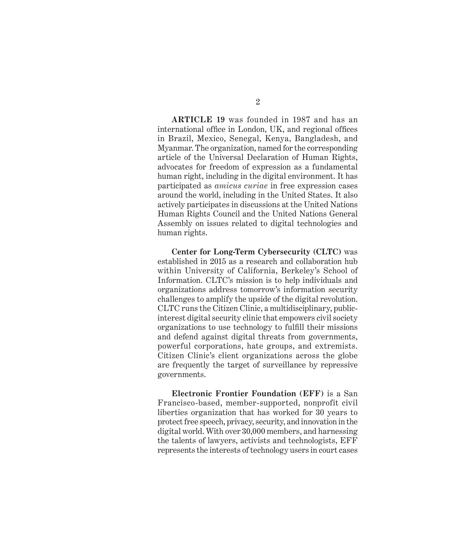**ARTICLE 19** was founded in 1987 and has an international office in London, UK, and regional offices in Brazil, Mexico, Senegal, Kenya, Bangladesh, and Myanmar. The organization, named for the corresponding article of the Universal Declaration of Human Rights, advocates for freedom of expression as a fundamental human right, including in the digital environment. It has participated as *amicus curiae* in free expression cases around the world, including in the United States. It also actively participates in discussions at the United Nations Human Rights Council and the United Nations General Assembly on issues related to digital technologies and human rights.

**Center for Long-Term Cybersecurity (CLTC)** was established in 2015 as a research and collaboration hub within University of California, Berkeley's School of Information. CLTC's mission is to help individuals and organizations address tomorrow's information security challenges to amplify the upside of the digital revolution. CLTC runs the Citizen Clinic, a multidisciplinary, publicinterest digital security clinic that empowers civil society organizations to use technology to fulfill their missions and defend against digital threats from governments, powerful corporations, hate groups, and extremists. Citizen Clinic's client organizations across the globe are frequently the target of surveillance by repressive governments.

**Electronic Frontier Foundation (EFF)** is a San Francisco-based, member-supported, nonprofit civil liberties organization that has worked for 30 years to protect free speech, privacy, security, and innovation in the digital world. With over 30,000 members, and harnessing the talents of lawyers, activists and technologists, EFF represents the interests of technology users in court cases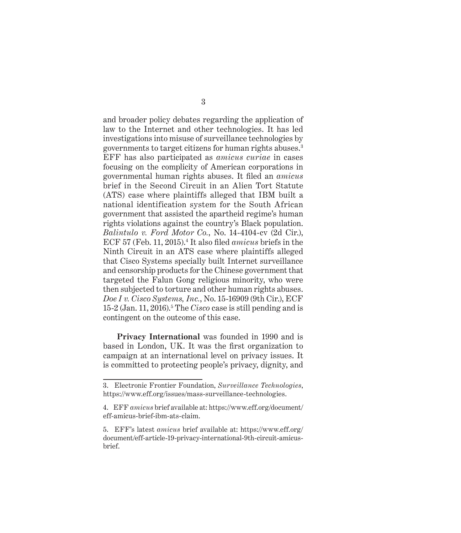and broader policy debates regarding the application of law to the Internet and other technologies. It has led investigations into misuse of surveillance technologies by governments to target citizens for human rights abuses.<sup>3</sup> EFF has also participated as *amicus curiae* in cases focusing on the complicity of American corporations in governmental human rights abuses. It filed an *amicus* brief in the Second Circuit in an Alien Tort Statute (ATS) case where plaintiffs alleged that IBM built a national identification system for the South African government that assisted the apartheid regime's human rights violations against the country's Black population. *Balintulo v. Ford Motor Co.*, No. 14-4104-cv (2d Cir.), ECF 57 (Feb. 11, 2015).4 It also filed *amicus* briefs in the Ninth Circuit in an ATS case where plaintiffs alleged that Cisco Systems specially built Internet surveillance and censorship products for the Chinese government that targeted the Falun Gong religious minority, who were then subjected to torture and other human rights abuses. *Doe I v. Cisco Systems, Inc.*, No. 15-16909 (9th Cir.), ECF 15-2 (Jan. 11, 2016).<sup>5</sup> The *Cisco* case is still pending and is contingent on the outcome of this case.

**Privacy International** was founded in 1990 and is based in London, UK. It was the first organization to campaign at an international level on privacy issues. It is committed to protecting people's privacy, dignity, and

<sup>3.</sup> Electronic Frontier Foundation, *Surveillance Technologies*, https://www.eff.org/issues/mass-surveillance-technologies.

<sup>4.</sup> EFF *amicus* brief available at: https://www.eff.org/document/ eff-amicus-brief-ibm-ats-claim.

<sup>5.</sup> EFF's latest *amicus* brief available at: https://www.eff.org/ document/eff-article-19-privacy-international-9th-circuit-amicusbrief.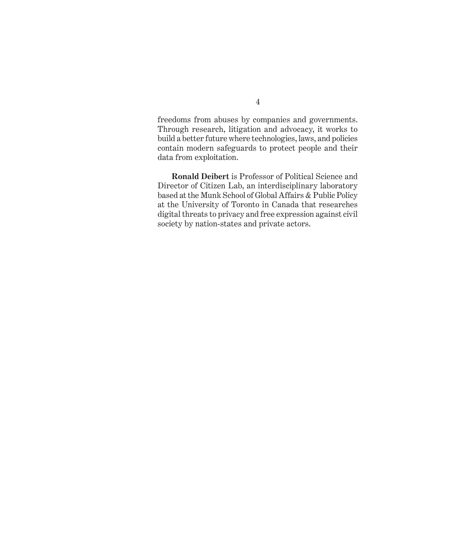freedoms from abuses by companies and governments. Through research, litigation and advocacy, it works to build a better future where technologies, laws, and policies contain modern safeguards to protect people and their data from exploitation.

**Ronald Deibert** is Professor of Political Science and Director of Citizen Lab, an interdisciplinary laboratory based at the Munk School of Global Affairs & Public Policy at the University of Toronto in Canada that researches digital threats to privacy and free expression against civil society by nation-states and private actors.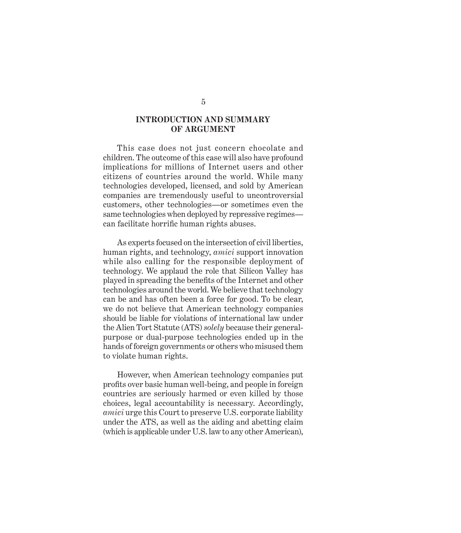### **INTRODUCTION AND SUMMARY OF ARGUMENT**

This case does not just concern chocolate and children. The outcome of this case will also have profound implications for millions of Internet users and other citizens of countries around the world. While many technologies developed, licensed, and sold by American companies are tremendously useful to uncontroversial customers, other technologies—or sometimes even the same technologies when deployed by repressive regimes can facilitate horrific human rights abuses.

As experts focused on the intersection of civil liberties, human rights, and technology, *amici* support innovation while also calling for the responsible deployment of technology. We applaud the role that Silicon Valley has played in spreading the benefits of the Internet and other technologies around the world. We believe that technology can be and has often been a force for good. To be clear, we do not believe that American technology companies should be liable for violations of international law under the Alien Tort Statute (ATS) *solely* because their generalpurpose or dual-purpose technologies ended up in the hands of foreign governments or others who misused them to violate human rights.

However, when American technology companies put profits over basic human well-being, and people in foreign countries are seriously harmed or even killed by those choices, legal accountability is necessary. Accordingly, *amici* urge this Court to preserve U.S. corporate liability under the ATS, as well as the aiding and abetting claim (which is applicable under U.S. law to any other American),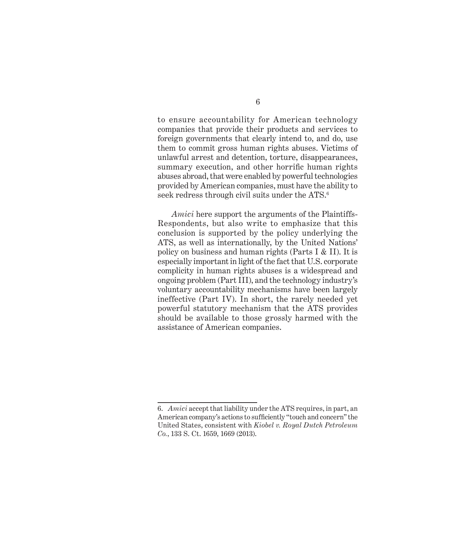to ensure accountability for American technology companies that provide their products and services to foreign governments that clearly intend to, and do, use them to commit gross human rights abuses. Victims of unlawful arrest and detention, torture, disappearances, summary execution, and other horrific human rights abuses abroad, that were enabled by powerful technologies provided by American companies, must have the ability to seek redress through civil suits under the ATS.<sup>6</sup>

*Amici* here support the arguments of the Plaintiffs-Respondents, but also write to emphasize that this conclusion is supported by the policy underlying the ATS, as well as internationally, by the United Nations' policy on business and human rights (Parts I & II). It is especially important in light of the fact that U.S. corporate complicity in human rights abuses is a widespread and ongoing problem (Part III), and the technology industry's voluntary accountability mechanisms have been largely ineffective (Part IV). In short, the rarely needed yet powerful statutory mechanism that the ATS provides should be available to those grossly harmed with the assistance of American companies.

<sup>6.</sup> *Amici* accept that liability under the ATS requires, in part, an American company's actions to sufficiently "touch and concern" the United States, consistent with *Kiobel v. Royal Dutch Petroleum Co.*, 133 S. Ct. 1659, 1669 (2013).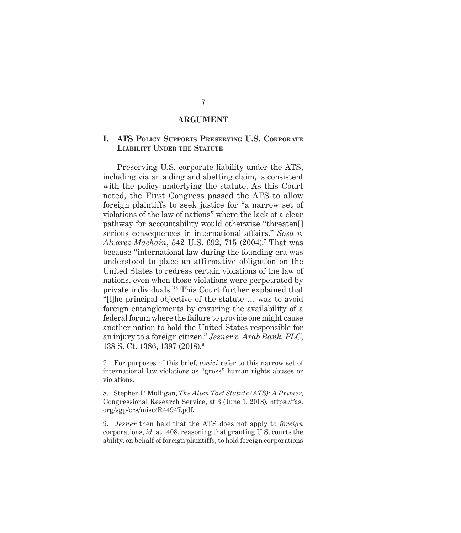#### **ARGUMENT**

### **I. ATS Policy Supports Preserving U.S. Corporate Liability Under the Statute**

Preserving U.S. corporate liability under the ATS, including via an aiding and abetting claim, is consistent with the policy underlying the statute. As this Court noted, the First Congress passed the ATS to allow foreign plaintiffs to seek justice for "a narrow set of violations of the law of nations" where the lack of a clear pathway for accountability would otherwise "threaten[] serious consequences in international affairs." *Sosa v. Alvarez-Machain*, 542 U.S. 692, 715 (2004).<sup>7</sup> That was because "international law during the founding era was understood to place an affirmative obligation on the United States to redress certain violations of the law of nations, even when those violations were perpetrated by private individuals."<sup>8</sup> This Court further explained that "[t]he principal objective of the statute … was to avoid foreign entanglements by ensuring the availability of a federal forum where the failure to provide one might cause another nation to hold the United States responsible for an injury to a foreign citizen." *Jesner v. Arab Bank, PLC*, 138 S. Ct. 1386, 1397 (2018).9

9. *Jesner* then held that the ATS does not apply to *foreign* corporations, *id.* at 1408, reasoning that granting U.S. courts the ability, on behalf of foreign plaintiffs, to hold foreign corporations

<sup>7.</sup> For purposes of this brief, *amici* refer to this narrow set of international law violations as "gross" human rights abuses or violations.

<sup>8.</sup> Stephen P. Mulligan, *The Alien Tort Statute (ATS): A Primer*, Congressional Research Service, at 3 (June 1, 2018), https://fas. org/sgp/crs/misc/R44947.pdf.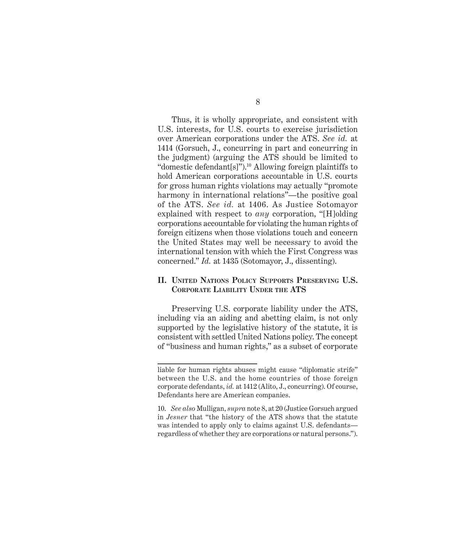Thus, it is wholly appropriate, and consistent with U.S. interests, for U.S. courts to exercise jurisdiction over American corporations under the ATS. *See id.* at 1414 (Gorsuch, J., concurring in part and concurring in the judgment) (arguing the ATS should be limited to "domestic defendant[s]").<sup>10</sup> Allowing foreign plaintiffs to hold American corporations accountable in U.S. courts for gross human rights violations may actually "promote harmony in international relations"—the positive goal of the ATS. *See id.* at 1406. As Justice Sotomayor explained with respect to *any* corporation, "[H]olding corporations accountable for violating the human rights of foreign citizens when those violations touch and concern the United States may well be necessary to avoid the international tension with which the First Congress was concerned." *Id.* at 1435 (Sotomayor, J., dissenting).

### **II. United Nations Policy Supports Preserving U.S. Corporate Liability Under the ATS**

Preserving U.S. corporate liability under the ATS, including via an aiding and abetting claim, is not only supported by the legislative history of the statute, it is consistent with settled United Nations policy. The concept of "business and human rights," as a subset of corporate

liable for human rights abuses might cause "diplomatic strife" between the U.S. and the home countries of those foreign corporate defendants, *id.* at 1412 (Alito, J., concurring). Of course, Defendants here are American companies.

<sup>10.</sup> *See also* Mulligan, *supra* note 8, at 20 (Justice Gorsuch argued in *Jesner* that "the history of the ATS shows that the statute was intended to apply only to claims against U.S. defendants regardless of whether they are corporations or natural persons.").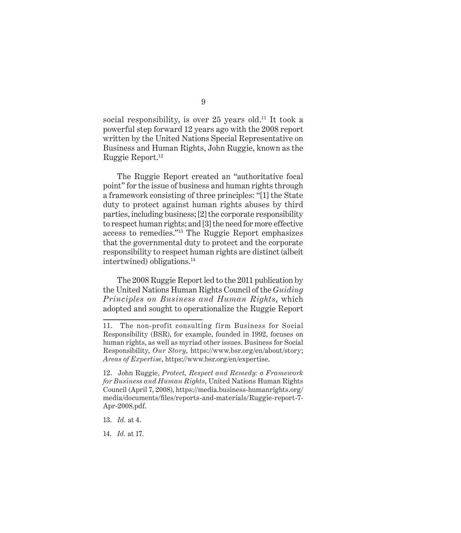social responsibility, is over 25 years old.<sup>11</sup> It took a powerful step forward 12 years ago with the 2008 report written by the United Nations Special Representative on Business and Human Rights, John Ruggie, known as the Ruggie Report.12

The Ruggie Report created an "authoritative focal point" for the issue of business and human rights through a framework consisting of three principles: "[1] the State duty to protect against human rights abuses by third parties, including business; [2] the corporate responsibility to respect human rights; and [3] the need for more effective access to remedies."13 The Ruggie Report emphasizes that the governmental duty to protect and the corporate responsibility to respect human rights are distinct (albeit intertwined) obligations.14

The 2008 Ruggie Report led to the 2011 publication by the United Nations Human Rights Council of the *Guiding Principles on Business and Human Rights*, which adopted and sought to operationalize the Ruggie Report

- 13. *Id.* at 4.
- 14. *Id.* at 17.

<sup>11.</sup> The non-profit consulting firm Business for Social Responsibility (BSR), for example, founded in 1992, focuses on human rights, as well as myriad other issues. Business for Social Responsibility, *Our Story*, https://www.bsr.org/en/about/story; *Areas of Expertise*, https://www.bsr.org/en/expertise.

<sup>12.</sup> John Ruggie, *Protect, Respect and Remedy: a Framework for Business and Human Rights*, United Nations Human Rights Council (April 7, 2008), https://media.business-humanrights.org/ media/documents/files/reports-and-materials/Ruggie-report-7- Apr-2008.pdf.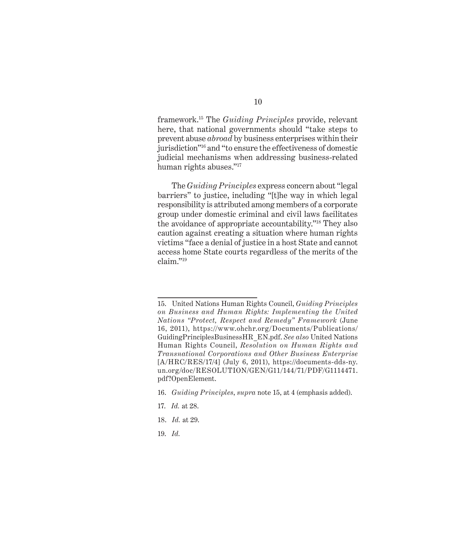framework.15 The *Guiding Principles* provide, relevant here, that national governments should "take steps to prevent abuse *abroad* by business enterprises within their jurisdiction"16 and "to ensure the effectiveness of domestic judicial mechanisms when addressing business-related human rights abuses."<sup>17</sup>

The *Guiding Principles* express concern about "legal barriers" to justice, including "[t]he way in which legal responsibility is attributed among members of a corporate group under domestic criminal and civil laws facilitates the avoidance of appropriate accountability."18 They also caution against creating a situation where human rights victims "face a denial of justice in a host State and cannot access home State courts regardless of the merits of the claim."<sup>19</sup>

- 17. *Id.* at 28.
- 18. *Id.* at 29.
- 19. *Id.*

<sup>15.</sup> United Nations Human Rights Council, *Guiding Principles on Business and Human Rights: Implementing the United Nations "Protect, Respect and Remedy" Framework* (June 16, 2011), https://www.ohchr.org/Documents/Publications/ GuidingPrinciplesBusinessHR\_EN.pdf. *See also* United Nations Human Rights Council, *Resolution on Human Rights and Transnational Corporations and Other Business Enterprise* [A/HRC/RES/17/4] (July 6, 2011), https://documents-dds-ny. un.org/doc/RESOLUTION/GEN/G11/144/71/PDF/G1114471. pdf?OpenElement.

<sup>16.</sup> *Guiding Principles*, *supra* note 15, at 4 (emphasis added).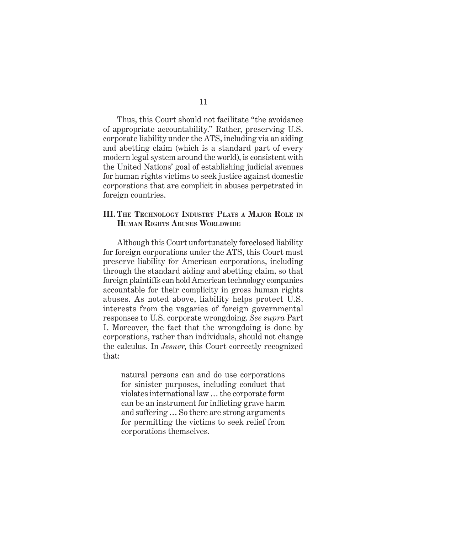Thus, this Court should not facilitate "the avoidance of appropriate accountability." Rather, preserving U.S. corporate liability under the ATS, including via an aiding and abetting claim (which is a standard part of every modern legal system around the world), is consistent with the United Nations' goal of establishing judicial avenues for human rights victims to seek justice against domestic corporations that are complicit in abuses perpetrated in foreign countries.

#### **III. The Technology Industry Plays a Major Role in Human Rights Abuses Worldwide**

Although this Court unfortunately foreclosed liability for foreign corporations under the ATS, this Court must preserve liability for American corporations, including through the standard aiding and abetting claim, so that foreign plaintiffs can hold American technology companies accountable for their complicity in gross human rights abuses. As noted above, liability helps protect U.S. interests from the vagaries of foreign governmental responses to U.S. corporate wrongdoing. *See supra* Part I. Moreover, the fact that the wrongdoing is done by corporations, rather than individuals, should not change the calculus. In *Jesner*, this Court correctly recognized that:

natural persons can and do use corporations for sinister purposes, including conduct that violates international law … the corporate form can be an instrument for inflicting grave harm and suffering … So there are strong arguments for permitting the victims to seek relief from corporations themselves.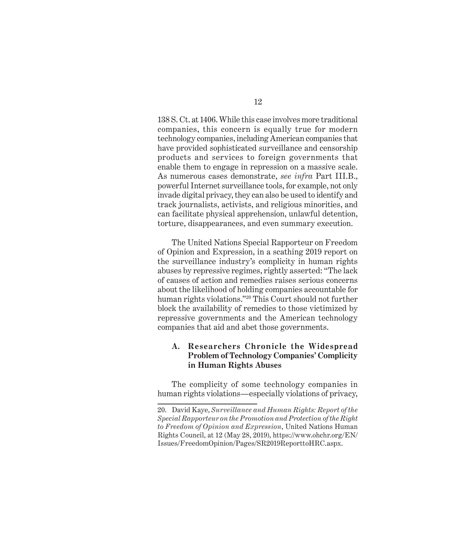138 S. Ct. at 1406. While this case involves more traditional companies, this concern is equally true for modern technology companies, including American companies that have provided sophisticated surveillance and censorship products and services to foreign governments that enable them to engage in repression on a massive scale. As numerous cases demonstrate, *see infra* Part III.B., powerful Internet surveillance tools, for example, not only invade digital privacy, they can also be used to identify and track journalists, activists, and religious minorities, and can facilitate physical apprehension, unlawful detention, torture, disappearances, and even summary execution.

The United Nations Special Rapporteur on Freedom of Opinion and Expression, in a scathing 2019 report on the surveillance industry's complicity in human rights abuses by repressive regimes, rightly asserted: "The lack of causes of action and remedies raises serious concerns about the likelihood of holding companies accountable for human rights violations."20 This Court should not further block the availability of remedies to those victimized by repressive governments and the American technology companies that aid and abet those governments.

### **A. Researchers Chronicle the Widespread Problem of Technology Companies' Complicity in Human Rights Abuses**

The complicity of some technology companies in human rights violations—especially violations of privacy,

<sup>20.</sup> David Kaye, *Surveillance and Human Rights: Report of the Special Rapporteur on the Promotion and Protection of the Right to Freedom of Opinion and Expression*, United Nations Human Rights Council, at 12 (May 28, 2019), https://www.ohchr.org/EN/ Issues/FreedomOpinion/Pages/SR2019ReporttoHRC.aspx.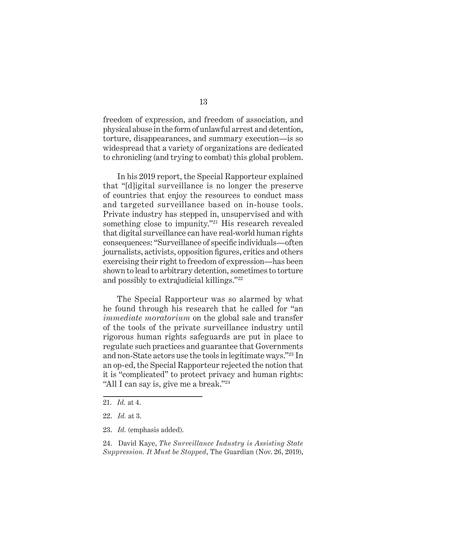freedom of expression, and freedom of association, and physical abuse in the form of unlawful arrest and detention, torture, disappearances, and summary execution—is so widespread that a variety of organizations are dedicated to chronicling (and trying to combat) this global problem.

In his 2019 report, the Special Rapporteur explained that "[d]igital surveillance is no longer the preserve of countries that enjoy the resources to conduct mass and targeted surveillance based on in-house tools. Private industry has stepped in, unsupervised and with something close to impunity."<sup>21</sup> His research revealed that digital surveillance can have real-world human rights consequences: "Surveillance of specific individuals—often journalists, activists, opposition figures, critics and others exercising their right to freedom of expression—has been shown to lead to arbitrary detention, sometimes to torture and possibly to extrajudicial killings."<sup>22</sup>

The Special Rapporteur was so alarmed by what he found through his research that he called for "an *immediate moratorium* on the global sale and transfer of the tools of the private surveillance industry until rigorous human rights safeguards are put in place to regulate such practices and guarantee that Governments and non-State actors use the tools in legitimate ways."23 In an op-ed, the Special Rapporteur rejected the notion that it is "complicated" to protect privacy and human rights: "All I can say is, give me a break."<sup>24</sup>

23. *Id.* (emphasis added).

24. David Kaye, *The Surveillance Industry is Assisting State Suppression. It Must be Stopped*, The Guardian (Nov. 26, 2019),

<sup>21.</sup> *Id.* at 4.

<sup>22.</sup> *Id.* at 3.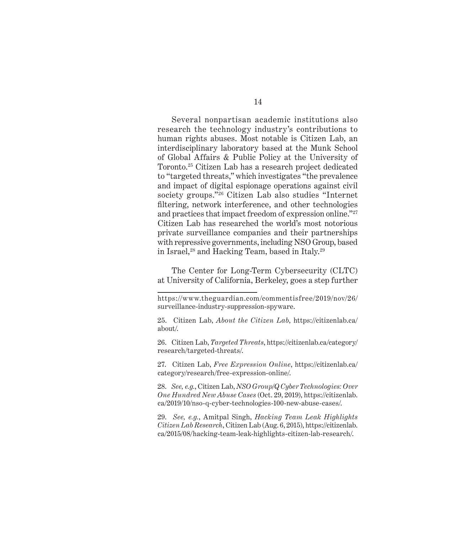Several nonpartisan academic institutions also research the technology industry's contributions to human rights abuses. Most notable is Citizen Lab, an interdisciplinary laboratory based at the Munk School of Global Affairs & Public Policy at the University of Toronto.25 Citizen Lab has a research project dedicated to "targeted threats," which investigates "the prevalence and impact of digital espionage operations against civil society groups."26 Citizen Lab also studies "Internet filtering, network interference, and other technologies and practices that impact freedom of expression online."<sup>27</sup> Citizen Lab has researched the world's most notorious private surveillance companies and their partnerships with repressive governments, including NSO Group, based in Israel, $^{28}$  and Hacking Team, based in Italy. $^{29}$ 

The Center for Long-Term Cybersecurity (CLTC) at University of California, Berkeley, goes a step further

26. Citizen Lab, *Targeted Threats*, https://citizenlab.ca/category/ research/targeted-threats/.

27. Citizen Lab, *Free Expression Online*, https://citizenlab.ca/ category/research/free-expression-online/.

28. *See, e.g.*, Citizen Lab, *NSO Group/Q Cyber Technologies: Over One Hundred New Abuse Cases* (Oct. 29, 2019), https://citizenlab. ca/2019/10/nso-q-cyber-technologies-100-new-abuse-cases/.

29. *See, e.g.*, Amitpal Singh, *Hacking Team Leak Highlights Citizen Lab Research*, Citizen Lab (Aug. 6, 2015), https://citizenlab. ca/2015/08/hacking-team-leak-highlights-citizen-lab-research/.

https://www.theguardian.com/commentisfree/2019/nov/26/ surveillance-industry-suppression-spyware.

<sup>25.</sup> Citizen Lab, *About the Citizen Lab*, https://citizenlab.ca/ about/.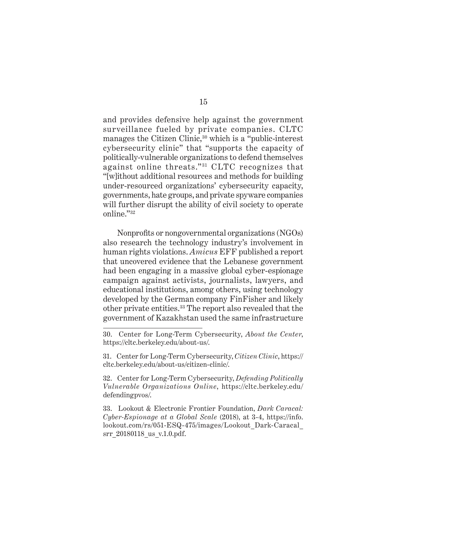and provides defensive help against the government surveillance fueled by private companies. CLTC manages the Citizen Clinic,<sup>30</sup> which is a "public-interest cybersecurity clinic" that "supports the capacity of politically-vulnerable organizations to defend themselves against online threats."<sup>31</sup> CLTC recognizes that "[w]ithout additional resources and methods for building under-resourced organizations' cybersecurity capacity, governments, hate groups, and private spyware companies will further disrupt the ability of civil society to operate online."<sup>32</sup>

Nonprofits or nongovernmental organizations (NGOs) also research the technology industry's involvement in human rights violations. *Amicus* EFF published a report that uncovered evidence that the Lebanese government had been engaging in a massive global cyber-espionage campaign against activists, journalists, lawyers, and educational institutions, among others, using technology developed by the German company FinFisher and likely other private entities.<sup>33</sup> The report also revealed that the government of Kazakhstan used the same infrastructure

31. Center for Long-Term Cybersecurity, *Citizen Clinic*, https:// cltc.berkeley.edu/about-us/citizen-clinic/.

32. Center for Long-Term Cybersecurity, *Defending Politically Vulnerable Organizations Online*, https://cltc.berkeley.edu/ defendingpvos/.

33. Lookout & Electronic Frontier Foundation, *Dark Caracal: Cyber-Espionage at a Global Scale* (2018), at 3-4, https://info. lookout.com/rs/051-ESQ-475/images/Lookout\_Dark-Caracal\_ srr 20180118 us v.1.0.pdf.

<sup>30.</sup> Center for Long-Term Cybersecurity, *About the Center*, https://cltc.berkeley.edu/about-us/.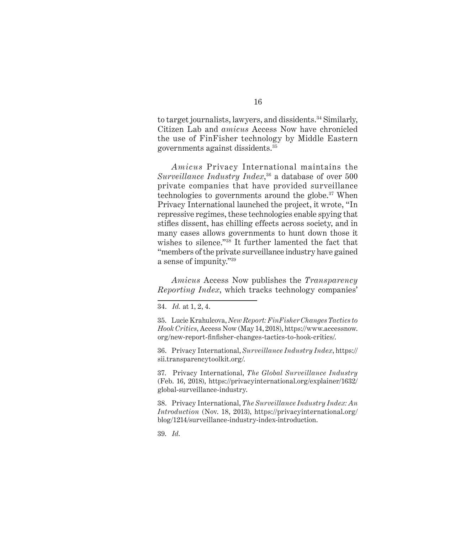to target journalists, lawyers, and dissidents.<sup>34</sup> Similarly, Citizen Lab and *amicus* Access Now have chronicled the use of FinFisher technology by Middle Eastern governments against dissidents.35

*Amicus* Privacy International maintains the *Surveillance Industry Index*, 36 a database of over 500 private companies that have provided surveillance technologies to governments around the globe.<sup>37</sup> When Privacy International launched the project, it wrote, "In repressive regimes, these technologies enable spying that stifles dissent, has chilling effects across society, and in many cases allows governments to hunt down those it wishes to silence."38 It further lamented the fact that "members of the private surveillance industry have gained a sense of impunity."<sup>39</sup>

*Amicus* Access Now publishes the *Transparency Reporting Index*, which tracks technology companies'

35. Lucie Krahulcova, *New Report: FinFisher Changes Tactics to Hook Critics*, Access Now (May 14, 2018), https://www.accessnow. org/new-report-finfisher-changes-tactics-to-hook-critics/.

36. Privacy International, *Surveillance Industry Index*, https:// sii.transparencytoolkit.org/.

37. Privacy International, *The Global Surveillance Industry* (Feb. 16, 2018), https://privacyinternational.org/explainer/1632/ global-surveillance-industry.

38. Privacy International, *The Surveillance Industry Index: An Introduction* (Nov. 18, 2013), https://privacyinternational.org/ blog/1214/surveillance-industry-index-introduction.

39. *Id.*

<sup>34.</sup> *Id.* at 1, 2, 4.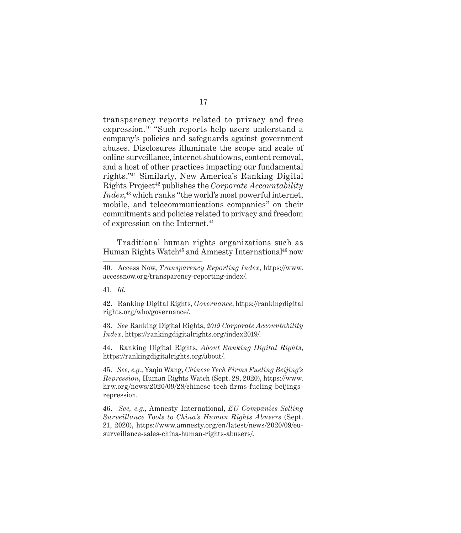transparency reports related to privacy and free expression.40 "Such reports help users understand a company's policies and safeguards against government abuses. Disclosures illuminate the scope and scale of online surveillance, internet shutdowns, content removal, and a host of other practices impacting our fundamental rights."41 Similarly, New America's Ranking Digital Rights Project42 publishes the *Corporate Accountability Index*, <sup>43</sup> which ranks "the world's most powerful internet, mobile, and telecommunications companies" on their commitments and policies related to privacy and freedom of expression on the Internet.<sup>44</sup>

Traditional human rights organizations such as Human Rights Watch<sup>45</sup> and Amnesty International<sup>46</sup> now

41. *Id.*

42. Ranking Digital Rights, *Governance*, https://rankingdigital rights.org/who/governance/.

43. *See* Ranking Digital Rights, *2019 Corporate Accountability Index*, https://rankingdigitalrights.org/index2019/.

44. Ranking Digital Rights, *About Ranking Digital Rights*, https://rankingdigitalrights.org/about/.

45. *See, e.g.*, Yaqiu Wang, *Chinese Tech Firms Fueling Beijing's Repression*, Human Rights Watch (Sept. 28, 2020), https://www. hrw.org/news/2020/09/28/chinese-tech-firms-fueling-beijingsrepression.

46. *See, e.g.*, Amnesty International, *EU Companies Selling Surveillance Tools to China's Human Rights Abusers* (Sept. 21, 2020), https://www.amnesty.org/en/latest/news/2020/09/eusurveillance-sales-china-human-rights-abusers/.

<sup>40.</sup> Access Now, *Transparency Reporting Index*, https://www. accessnow.org/transparency-reporting-index/.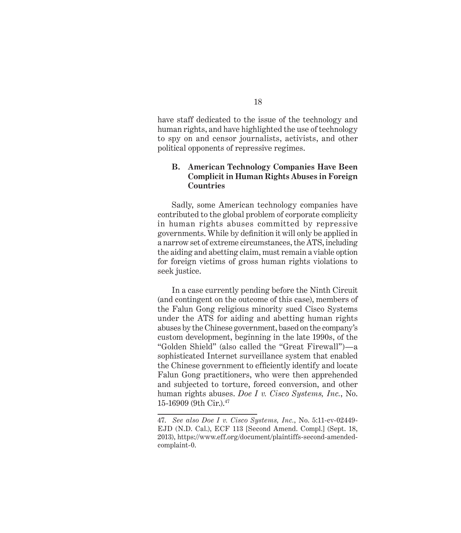have staff dedicated to the issue of the technology and human rights, and have highlighted the use of technology to spy on and censor journalists, activists, and other political opponents of repressive regimes.

### **B. American Technology Companies Have Been Complicit in Human Rights Abuses in Foreign Countries**

Sadly, some American technology companies have contributed to the global problem of corporate complicity in human rights abuses committed by repressive governments. While by definition it will only be applied in a narrow set of extreme circumstances, the ATS, including the aiding and abetting claim, must remain a viable option for foreign victims of gross human rights violations to seek justice.

In a case currently pending before the Ninth Circuit (and contingent on the outcome of this case), members of the Falun Gong religious minority sued Cisco Systems under the ATS for aiding and abetting human rights abuses by the Chinese government, based on the company's custom development, beginning in the late 1990s, of the "Golden Shield" (also called the "Great Firewall")—a sophisticated Internet surveillance system that enabled the Chinese government to efficiently identify and locate Falun Gong practitioners, who were then apprehended and subjected to torture, forced conversion, and other human rights abuses. *Doe I v. Cisco Systems, Inc.*, No. 15-16909 (9th Cir.).47

<sup>47.</sup> *See also Doe I v. Cisco Systems, Inc.*, No. 5:11-cv-02449- EJD (N.D. Cal.), ECF 113 [Second Amend. Compl.] (Sept. 18, 2013), https://www.eff.org/document/plaintiffs-second-amendedcomplaint-0.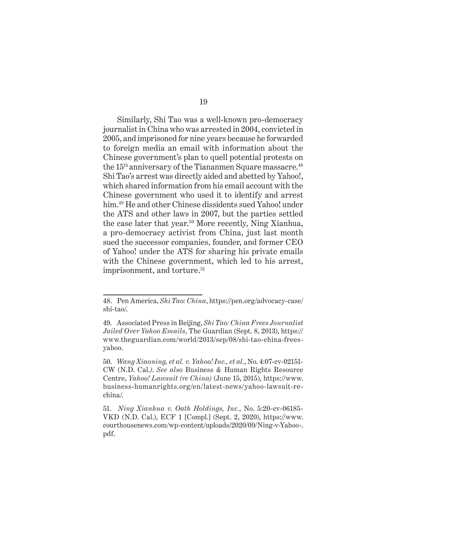Similarly, Shi Tao was a well-known pro-democracy journalist in China who was arrested in 2004, convicted in 2005, and imprisoned for nine years because he forwarded to foreign media an email with information about the Chinese government's plan to quell potential protests on the  $15<sup>th</sup>$  anniversary of the Tiananmen Square massacre.<sup>48</sup> Shi Tao's arrest was directly aided and abetted by Yahoo!, which shared information from his email account with the Chinese government who used it to identify and arrest him.<sup>49</sup> He and other Chinese dissidents sued Yahoo! under the ATS and other laws in 2007, but the parties settled the case later that year.<sup>50</sup> More recently, Ning Xianhua, a pro-democracy activist from China, just last month sued the successor companies, founder, and former CEO of Yahoo! under the ATS for sharing his private emails with the Chinese government, which led to his arrest, imprisonment, and torture.<sup>51</sup>

<sup>48.</sup> Pen America, *Shi Tao: China*, https://pen.org/advocacy-case/ shi-tao/.

<sup>49.</sup> Associated Press in Beijing, *Shi Tao: China Frees Journalist Jailed Over Yahoo Emails*, The Guardian (Sept. 8, 2013), https:// www.theguardian.com/world/2013/sep/08/shi-tao-china-freesyahoo.

<sup>50.</sup> *Wang Xiaoning, et al. v. Yahoo! Inc., et al.*, No. 4:07-cv-02151- CW (N.D. Cal*.)*. *See also* Business & Human Rights Resource Centre, *Yahoo! Lawsuit (re China)* (June 15, 2015), https://www. business-humanrights.org/en/latest-news/yahoo-lawsuit-rechina/.

<sup>51.</sup> *Ning Xianhua v. Oath Holdings, Inc.*, No. 5:20-cv-06185- VKD (N.D. Cal.), ECF 1 [Compl.] (Sept. 2, 2020), https://www. courthousenews.com/wp-content/uploads/2020/09/Ning-v-Yahoo-. pdf.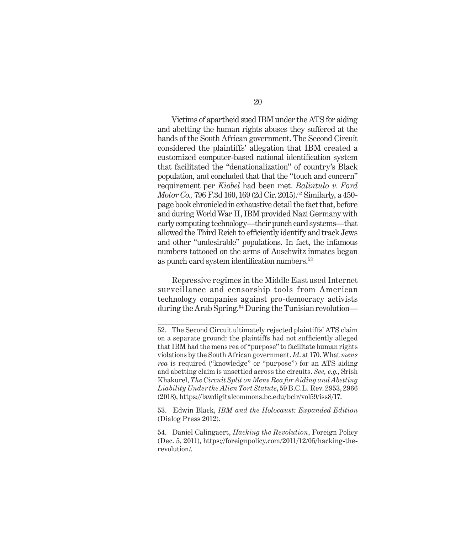Victims of apartheid sued IBM under the ATS for aiding and abetting the human rights abuses they suffered at the hands of the South African government. The Second Circuit considered the plaintiffs' allegation that IBM created a customized computer-based national identification system that facilitated the "denationalization" of country's Black population, and concluded that that the "touch and concern" requirement per *Kiobel* had been met. *Balintulo v. Ford Motor Co., 796 F.3d 160, 169 (2d Cir. 2015).*<sup>52</sup> Similarly, a 450page book chronicled in exhaustive detail the fact that, before and during World War II, IBM provided Nazi Germany with early computing technology—their punch card systems—that allowed the Third Reich to efficiently identify and track Jews and other "undesirable" populations. In fact, the infamous numbers tattooed on the arms of Auschwitz inmates began as punch card system identification numbers.<sup>53</sup>

Repressive regimes in the Middle East used Internet surveillance and censorship tools from American technology companies against pro-democracy activists during the Arab Spring.<sup>54</sup> During the Tunisian revolution—

<sup>52.</sup> The Second Circuit ultimately rejected plaintiffs' ATS claim on a separate ground: the plaintiffs had not sufficiently alleged that IBM had the mens rea of "purpose" to facilitate human rights violations by the South African government. *Id*. at 170. What *mens rea* is required ("knowledge" or "purpose") for an ATS aiding and abetting claim is unsettled across the circuits. *See, e.g.*, Srish Khakurel, *The Circuit Split on Mens Rea for Aiding and Abetting Liability Under the Alien Tort Statute*, 59 B.C.L. Rev. 2953, 2966 (2018), https://lawdigitalcommons.bc.edu/bclr/vol59/iss8/17.

<sup>53.</sup> Edwin Black, *IBM and the Holocaust: Expanded Edition* (Dialog Press 2012).

<sup>54.</sup> Daniel Calingaert, *Hacking the Revolution*, Foreign Policy (Dec. 5, 2011), https://foreignpolicy.com/2011/12/05/hacking-therevolution/.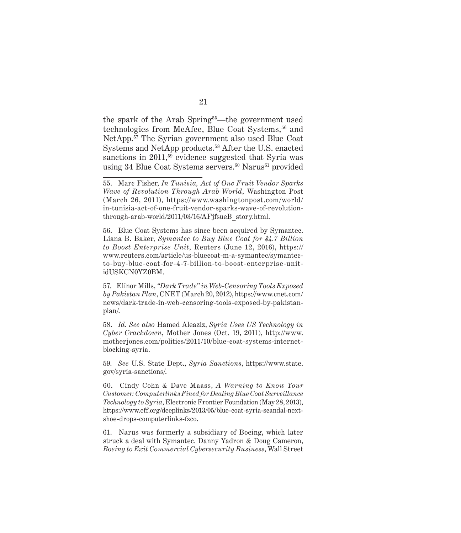the spark of the Arab Spring<sup>55</sup>—the government used technologies from McAfee, Blue Coat Systems,<sup>56</sup> and NetApp.57 The Syrian government also used Blue Coat Systems and NetApp products.58 After the U.S. enacted sanctions in 2011,<sup>59</sup> evidence suggested that Syria was using 34 Blue Coat Systems servers.<sup>60</sup> Narus<sup>61</sup> provided

56. Blue Coat Systems has since been acquired by Symantec. Liana B. Baker, *Symantec to Buy Blue Coat for \$4.7 Billion to Boost Enterprise Unit*, Reuters (June 12, 2016), https:// www.reuters.com/article/us-bluecoat-m-a-symantec/symantecto-buy-blue-coat-for-4-7-billion-to-boost-enterprise-unitidUSKCN0YZ0BM.

57. Elinor Mills, *"Dark Trade" in Web-Censoring Tools Exposed by Pakistan Plan*, CNET (March 20, 2012), https://www.cnet.com/ news/dark-trade-in-web-censoring-tools-exposed-by-pakistanplan/.

58. *Id. See also* Hamed Aleaziz, *Syria Uses US Technology in Cyber Crackdown*, Mother Jones (Oct. 19, 2011), http://www. motherjones.com/politics/2011/10/blue-coat-systems-internetblocking-syria.

59. *See* U.S. State Dept., *Syria Sanctions*, https://www.state. gov/syria-sanctions/.

60. Cindy Cohn & Dave Maass, *A Warning to Know Your Customer: Computerlinks Fined for Dealing Blue Coat Surveillance Technology to Syria*, Electronic Frontier Foundation (May 28, 2013), https://www.eff.org/deeplinks/2013/05/blue-coat-syria-scandal-nextshoe-drops-computerlinks-fzco.

61. Narus was formerly a subsidiary of Boeing, which later struck a deal with Symantec. Danny Yadron & Doug Cameron, *Boeing to Exit Commercial Cybersecurity Business*, Wall Street

<sup>55.</sup> Marc Fisher, *In Tunisia, Act of One Fruit Vendor Sparks Wave of Revolution Through Arab World*, Washington Post (March 26, 2011), https://www.washingtonpost.com/world/ in-tunisia-act-of-one-fruit-vendor-sparks-wave-of-revolutionthrough-arab-world/2011/03/16/AFjfsueB\_story.html.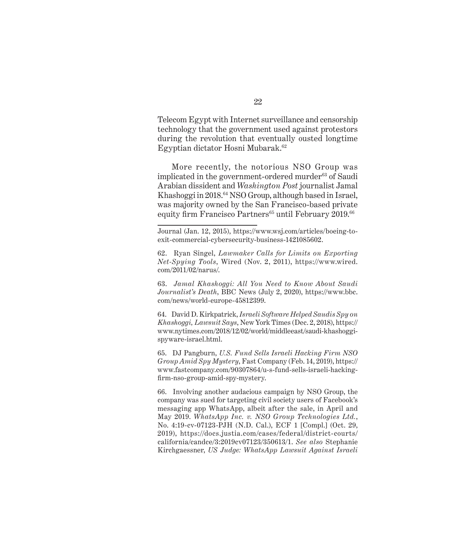Telecom Egypt with Internet surveillance and censorship technology that the government used against protestors during the revolution that eventually ousted longtime Egyptian dictator Hosni Mubarak.62

More recently, the notorious NSO Group was implicated in the government-ordered murder<sup>63</sup> of Saudi Arabian dissident and *Washington Post* journalist Jamal Khashoggi in 2018.64 NSO Group, although based in Israel, was majority owned by the San Francisco-based private equity firm Francisco Partners $65$  until February 2019. $66$ 

63. *Jamal Khashoggi: All You Need to Know About Saudi Journalist's Death*, BBC News (July 2, 2020), https://www.bbc. com/news/world-europe-45812399.

64. David D. Kirkpatrick, *Israeli Software Helped Saudis Spy on Khashoggi, Lawsuit Says*, New York Times (Dec. 2, 2018), https:// www.nytimes.com/2018/12/02/world/middleeast/saudi-khashoggispyware-israel.html.

65. DJ Pangburn, *U.S. Fund Sells Israeli Hacking Firm NSO Group Amid Spy Mystery*, Fast Company (Feb. 14, 2019), https:// www.fastcompany.com/90307864/u-s-fund-sells-israeli-hackingfirm-nso-group-amid-spy-mystery.

66. Involving another audacious campaign by NSO Group, the company was sued for targeting civil society users of Facebook's messaging app WhatsApp, albeit after the sale, in April and May 2019. *WhatsApp Inc. v. NSO Group Technologies Ltd.*, No. 4:19-cv-07123-PJH (N.D. Cal.), ECF 1 [Compl.] (Oct. 29, 2019), https://docs.justia.com/cases/federal/district-courts/ california/candce/3:2019cv07123/350613/1. *See also* Stephanie Kirchgaessner, *US Judge: WhatsApp Lawsuit Against Israeli* 

Journal (Jan. 12, 2015), https://www.wsj.com/articles/boeing-toexit-commercial-cybersecurity-business-1421085602.

<sup>62.</sup> Ryan Singel, *Lawmaker Calls for Limits on Exporting Net-Spying Tools*, Wired (Nov. 2, 2011), https://www.wired. com/2011/02/narus/.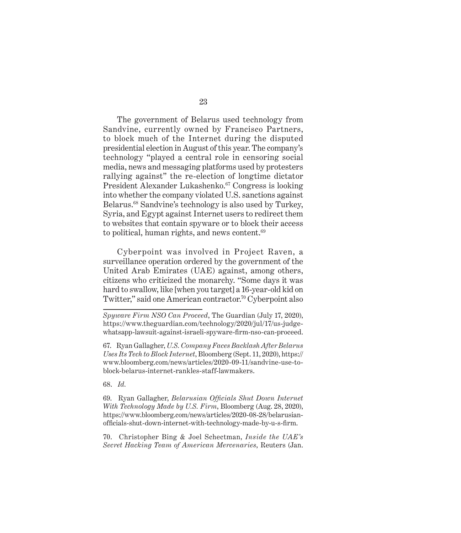The government of Belarus used technology from Sandvine, currently owned by Francisco Partners, to block much of the Internet during the disputed presidential election in August of this year. The company's technology "played a central role in censoring social media, news and messaging platforms used by protesters rallying against" the re-election of longtime dictator President Alexander Lukashenko.<sup>67</sup> Congress is looking into whether the company violated U.S. sanctions against Belarus.<sup>68</sup> Sandvine's technology is also used by Turkey, Syria, and Egypt against Internet users to redirect them to websites that contain spyware or to block their access to political, human rights, and news content.<sup>69</sup>

Cyberpoint was involved in Project Raven, a surveillance operation ordered by the government of the United Arab Emirates (UAE) against, among others, citizens who criticized the monarchy. "Some days it was hard to swallow, like [when you target] a 16-year-old kid on Twitter," said one American contractor.<sup>70</sup> Cyberpoint also

68. *Id.*

69. Ryan Gallagher, *Belarusian Officials Shut Down Internet With Technology Made by U.S. Firm*, Bloomberg (Aug. 28, 2020), https://www.bloomberg.com/news/articles/2020-08-28/belarusianofficials-shut-down-internet-with-technology-made-by-u-s-firm.

70. Christopher Bing & Joel Schectman, *Inside the UAE's Secret Hacking Team of American Mercenaries*, Reuters (Jan.

*Spyware Firm NSO Can Proceed*, The Guardian (July 17, 2020), https://www.theguardian.com/technology/2020/jul/17/us-judgewhatsapp-lawsuit-against-israeli-spyware-firm-nso-can-proceed.

<sup>67.</sup> Ryan Gallagher, *U.S. Company Faces Backlash After Belarus Uses Its Tech to Block Internet*, Bloomberg (Sept. 11, 2020), https:// www.bloomberg.com/news/articles/2020-09-11/sandvine-use-toblock-belarus-internet-rankles-staff-lawmakers.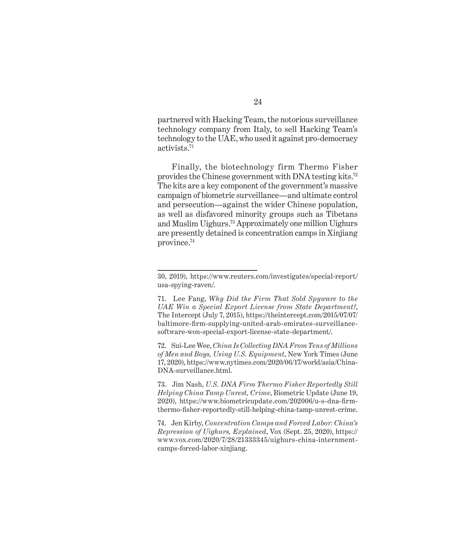partnered with Hacking Team, the notorious surveillance technology company from Italy, to sell Hacking Team's technology to the UAE, who used it against pro-democracy activists.71

Finally, the biotechnology firm Thermo Fisher provides the Chinese government with DNA testing kits.72 The kits are a key component of the government's massive campaign of biometric surveillance—and ultimate control and persecution—against the wider Chinese population, as well as disfavored minority groups such as Tibetans and Muslim Uighurs.73 Approximately one million Uighurs are presently detained is concentration camps in Xinjiang province.74

72. Sui-Lee Wee, *China Is Collecting DNA From Tens of Millions of Men and Boys, Using U.S. Equipment*, New York Times (June 17, 2020), https://www.nytimes.com/2020/06/17/world/asia/China-DNA-surveillance.html.

73. Jim Nash, *U.S. DNA Firm Thermo Fisher Reportedly Still Helping China Tamp Unrest, Crime*, Biometric Update (June 19, 2020), https://www.biometricupdate.com/202006/u-s-dna-firmthermo-fisher-reportedly-still-helping-china-tamp-unrest-crime.

74. Jen Kirby, *Concentration Camps and Forced Labor: China's Repression of Uighurs, Explained*, Vox (Sept. 25, 2020), https:// www.vox.com/2020/7/28/21333345/uighurs-china-internmentcamps-forced-labor-xinjiang.

<sup>30, 2019),</sup> https://www.reuters.com/investigates/special-report/ usa-spying-raven/.

<sup>71.</sup> Lee Fang, *Why Did the Firm That Sold Spyware to the UAE Win a Special Export License from State Department?*, The Intercept (July 7, 2015), https://theintercept.com/2015/07/07/ baltimore-firm-supplying-united-arab-emirates-surveillancesoftware-won-special-export-license-state-department/.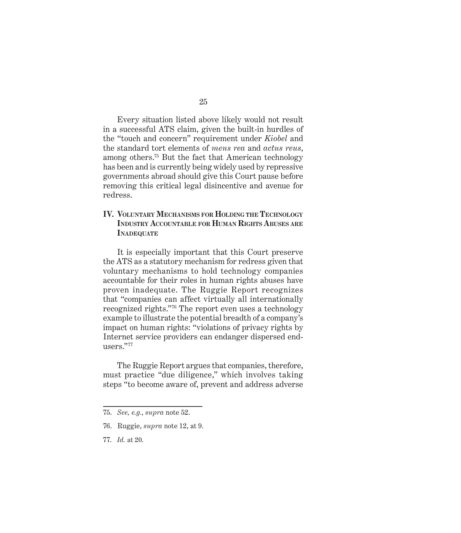Every situation listed above likely would not result in a successful ATS claim, given the built-in hurdles of the "touch and concern" requirement under *Kiobel* and the standard tort elements of *mens rea* and *actus reus*, among others.75 But the fact that American technology has been and is currently being widely used by repressive governments abroad should give this Court pause before removing this critical legal disincentive and avenue for redress.

### **IV. Voluntary Mechanisms for Holding the Technology Industry Accountable for Human Rights Abuses are INADEQUATE**

It is especially important that this Court preserve the ATS as a statutory mechanism for redress given that voluntary mechanisms to hold technology companies accountable for their roles in human rights abuses have proven inadequate. The Ruggie Report recognizes that "companies can affect virtually all internationally recognized rights."76 The report even uses a technology example to illustrate the potential breadth of a company's impact on human rights: "violations of privacy rights by Internet service providers can endanger dispersed endusers."<sup>77</sup>

The Ruggie Report argues that companies, therefore, must practice "due diligence," which involves taking steps "to become aware of, prevent and address adverse

77. *Id.* at 20.

<sup>75.</sup> *See, e.g.*, *supra* note 52.

<sup>76.</sup> Ruggie, *supra* note 12, at 9.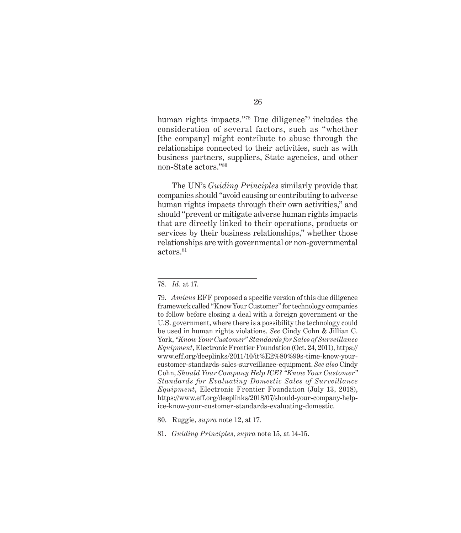human rights impacts."<sup>78</sup> Due diligence<sup>79</sup> includes the consideration of several factors, such as "whether [the company] might contribute to abuse through the relationships connected to their activities, such as with business partners, suppliers, State agencies, and other non-State actors."<sup>80</sup>

The UN's *Guiding Principles* similarly provide that companies should "avoid causing or contributing to adverse human rights impacts through their own activities," and should "prevent or mitigate adverse human rights impacts that are directly linked to their operations, products or services by their business relationships," whether those relationships are with governmental or non-governmental actors.<sup>81</sup>

<sup>78.</sup> *Id.* at 17.

<sup>79.</sup> *Amicus* EFF proposed a specific version of this due diligence framework called "Know Your Customer" for technology companies to follow before closing a deal with a foreign government or the U.S. government, where there is a possibility the technology could be used in human rights violations. *See* Cindy Cohn & Jillian C. York, *"Know Your Customer" Standards for Sales of Surveillance Equipment*, Electronic Frontier Foundation (Oct. 24, 2011), https:// www.eff.org/deeplinks/2011/10/it%E2%80%99s-time-know-yourcustomer-standards-sales-surveillance-equipment. *See also* Cindy Cohn, *Should Your Company Help ICE? "Know Your Customer" Standards for Evaluating Domestic Sales of Surveillance Equipment*, Electronic Frontier Foundation (July 13, 2018), https://www.eff.org/deeplinks/2018/07/should-your-company-helpice-know-your-customer-standards-evaluating-domestic.

<sup>80.</sup> Ruggie, *supra* note 12, at 17.

<sup>81.</sup> *Guiding Principles*, *supra* note 15, at 14-15.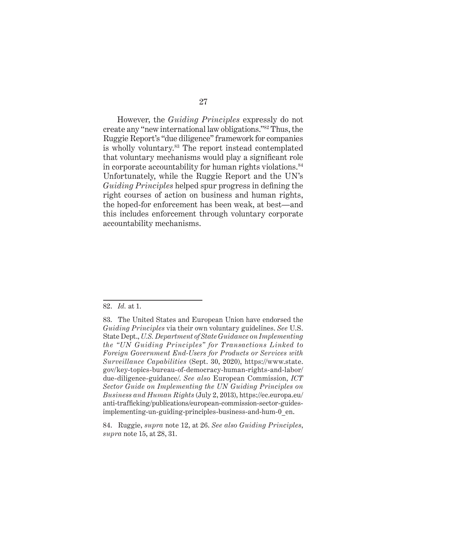However, the *Guiding Principles* expressly do not create any "new international law obligations."82 Thus, the Ruggie Report's "due diligence" framework for companies is wholly voluntary.<sup>83</sup> The report instead contemplated that voluntary mechanisms would play a significant role in corporate accountability for human rights violations.<sup>84</sup> Unfortunately, while the Ruggie Report and the UN's *Guiding Principles* helped spur progress in defining the right courses of action on business and human rights, the hoped-for enforcement has been weak, at best—and this includes enforcement through voluntary corporate accountability mechanisms.

82. *Id.* at 1.

84. Ruggie, *supra* note 12, at 26. *See also Guiding Principles*, *supra* note 15, at 28, 31.

<sup>83.</sup> The United States and European Union have endorsed the *Guiding Principles* via their own voluntary guidelines. *See* U.S. State Dept., *U.S. Department of State Guidance on Implementing the "UN Guiding Principles" for Transactions Linked to Foreign Government End-Users for Products or Services with Surveillance Capabilities* (Sept. 30, 2020), https://www.state. gov/key-topics-bureau-of-democracy-human-rights-and-labor/ due-diligence-guidance/. *See also* European Commission, *ICT Sector Guide on Implementing the UN Guiding Principles on Business and Human Rights* (July 2, 2013), https://ec.europa.eu/ anti-trafficking/publications/european-commission-sector-guidesimplementing-un-guiding-principles-business-and-hum-0\_en.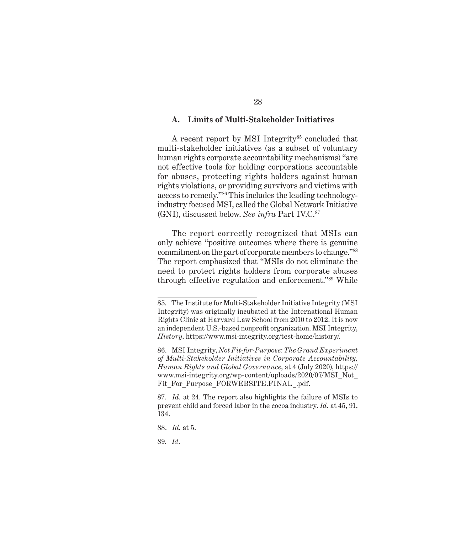#### **A. Limits of Multi-Stakeholder Initiatives**

A recent report by MSI Integrity<sup>85</sup> concluded that multi-stakeholder initiatives (as a subset of voluntary human rights corporate accountability mechanisms) "are not effective tools for holding corporations accountable for abuses, protecting rights holders against human rights violations, or providing survivors and victims with access to remedy."86 This includes the leading technologyindustry focused MSI, called the Global Network Initiative (GNI), discussed below. *See infra* Part IV.C.87

The report correctly recognized that MSIs can only achieve "positive outcomes where there is genuine commitment on the part of corporate members to change."<sup>88</sup> The report emphasized that "MSIs do not eliminate the need to protect rights holders from corporate abuses through effective regulation and enforcement."89 While

89. *Id*.

<sup>85.</sup> The Institute for Multi-Stakeholder Initiative Integrity (MSI Integrity) was originally incubated at the International Human Rights Clinic at Harvard Law School from 2010 to 2012. It is now an independent U.S.-based nonprofit organization. MSI Integrity, *History*, https://www.msi-integrity.org/test-home/history/.

<sup>86.</sup> MSI Integrity, *Not Fit-for-Purpose: The Grand Experiment of Multi-Stakeholder Initiatives in Corporate Accountability, Human Rights and Global Governance*, at 4 (July 2020), https:// www.msi-integrity.org/wp-content/uploads/2020/07/MSI\_Not\_ Fit\_For\_Purpose\_FORWEBSITE.FINAL\_.pdf.

<sup>87.</sup> *Id.* at 24. The report also highlights the failure of MSIs to prevent child and forced labor in the cocoa industry. *Id.* at 45, 91, 134.

<sup>88.</sup> *Id.* at 5.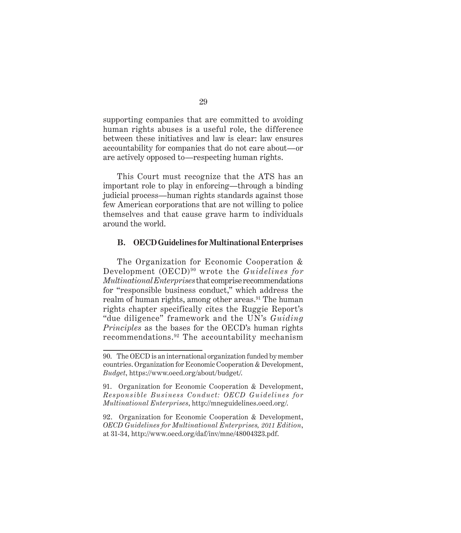supporting companies that are committed to avoiding human rights abuses is a useful role, the difference between these initiatives and law is clear: law ensures accountability for companies that do not care about—or are actively opposed to—respecting human rights.

This Court must recognize that the ATS has an important role to play in enforcing—through a binding judicial process—human rights standards against those few American corporations that are not willing to police themselves and that cause grave harm to individuals around the world.

#### **B. OECD Guidelines for Multinational Enterprises**

The Organization for Economic Cooperation & Development (OECD) 90 wrote the *Guidelines for Multinational Enterprises* that comprise recommendations for "responsible business conduct," which address the realm of human rights, among other areas.<sup>91</sup> The human rights chapter specifically cites the Ruggie Report's "due diligence" framework and the UN's *Guiding Principles* as the bases for the OECD's human rights recommendations.92 The accountability mechanism

92. Organization for Economic Cooperation & Development, *OECD Guidelines for Multinational Enterprises, 2011 Edition*, at 31-34, http://www.oecd.org/daf/inv/mne/48004323.pdf.

<sup>90.</sup> The OECD is an international organization funded by member countries. Organization for Economic Cooperation & Development, *Budget*, https://www.oecd.org/about/budget/.

<sup>91.</sup> Organization for Economic Cooperation & Development, *Responsible Business Conduct: OECD Guidelines for Multinational Enterprises*, http://mneguidelines.oecd.org/.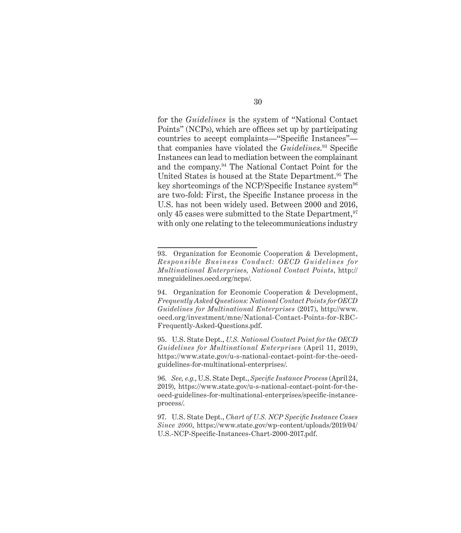for the *Guidelines* is the system of "National Contact Points" (NCPs), which are offices set up by participating countries to accept complaints—"Specific Instances" that companies have violated the *Guidelines*. <sup>93</sup> Specific Instances can lead to mediation between the complainant and the company.94 The National Contact Point for the United States is housed at the State Department.<sup>95</sup> The key shortcomings of the NCP/Specific Instance system<sup>96</sup> are two-fold: First, the Specific Instance process in the U.S. has not been widely used. Between 2000 and 2016, only 45 cases were submitted to the State Department, <sup>97</sup> with only one relating to the telecommunications industry

<sup>93.</sup> Organization for Economic Cooperation & Development, *Responsible Business Conduct: OECD Guidelines for Multinational Enterprises, National Contact Points*, http:// mneguidelines.oecd.org/ncps/.

<sup>94.</sup> Organization for Economic Cooperation & Development, *Frequently Asked Questions: National Contact Points for OECD Guidelines for Multinational Enterprises* (2017), http://www. oecd.org/investment/mne/National-Contact-Points-for-RBC-Frequently-Asked-Questions.pdf.

<sup>95.</sup> U.S. State Dept., *U.S. National Contact Point for the OECD Guidelines for Multinational Enterprises* (April 11, 2019), https://www.state.gov/u-s-national-contact-point-for-the-oecdguidelines-for-multinational-enterprises/.

<sup>96.</sup> *See, e.g.*, U.S. State Dept., *Specific Instance Process* (April 24, 2019), https://www.state.gov/u-s-national-contact-point-for-theoecd-guidelines-for-multinational-enterprises/specific-instanceprocess/.

<sup>97.</sup> U.S. State Dept., *Chart of U.S. NCP Specific Instance Cases Since 2000*, https://www.state.gov/wp-content/uploads/2019/04/ U.S.-NCP-Specific-Instances-Chart-2000-2017.pdf.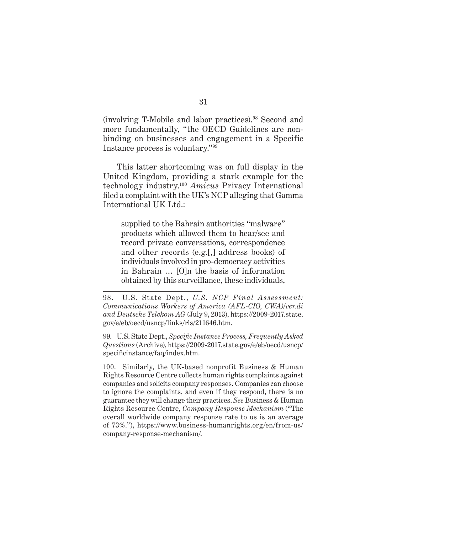(involving T-Mobile and labor practices).98 Second and more fundamentally, "the OECD Guidelines are nonbinding on businesses and engagement in a Specific Instance process is voluntary."<sup>99</sup>

This latter shortcoming was on full display in the United Kingdom, providing a stark example for the technology industry.100 *Amicus* Privacy International filed a complaint with the UK's NCP alleging that Gamma International UK Ltd.:

supplied to the Bahrain authorities "malware" products which allowed them to hear/see and record private conversations, correspondence and other records (e.g.[,] address books) of individuals involved in pro-democracy activities in Bahrain … [O]n the basis of information obtained by this surveillance, these individuals,

99. U.S. State Dept., *Specific Instance Process, Frequently Asked Questions* (Archive), https://2009-2017.state.gov/e/eb/oecd/usncp/ specificinstance/faq/index.htm.

100. Similarly, the UK-based nonprofit Business & Human Rights Resource Centre collects human rights complaints against companies and solicits company responses. Companies can choose to ignore the complaints, and even if they respond, there is no guarantee they will change their practices. *See* Business & Human Rights Resource Centre, *Company Response Mechanism* ("The overall worldwide company response rate to us is an average of 73%."), https://www.business-humanrights.org/en/from-us/ company-response-mechanism/.

<sup>98.</sup> U.S. State Dept., *U.S. NCP Final Assessment: Communications Workers of America (AFL-CIO, CWA)/ver.di and Deutsche Telekom AG* (July 9, 2013), https://2009-2017.state. gov/e/eb/oecd/usncp/links/rls/211646.htm.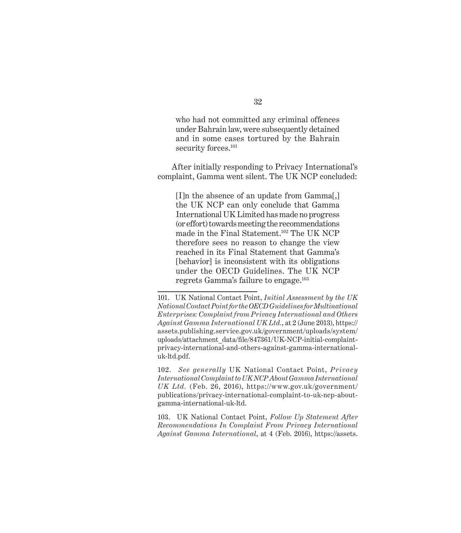who had not committed any criminal offences under Bahrain law, were subsequently detained and in some cases tortured by the Bahrain security forces.<sup>101</sup>

After initially responding to Privacy International's complaint, Gamma went silent. The UK NCP concluded:

[I]n the absence of an update from Gamma[,] the UK NCP can only conclude that Gamma International UK Limited has made no progress (or effort) towards meeting the recommendations made in the Final Statement.102 The UK NCP therefore sees no reason to change the view reached in its Final Statement that Gamma's [behavior] is inconsistent with its obligations under the OECD Guidelines. The UK NCP regrets Gamma's failure to engage.103

102. *See generally* UK National Contact Point, *Privacy International Complaint to UK NCP About Gamma International UK Ltd.* (Feb. 26, 2016), https://www.gov.uk/government/ publications/privacy-international-complaint-to-uk-ncp-aboutgamma-international-uk-ltd.

103. UK National Contact Point, *Follow Up Statement After Recommendations In Complaint From Privacy International Against Gamma International*, at 4 (Feb. 2016), https://assets.

<sup>101.</sup> UK National Contact Point, *Initial Assessment by the UK National Contact Point for the OECD Guidelines for Multinational Enterprises: Complaint from Privacy International and Others Against Gamma International UK Ltd.*, at 2 (June 2013), https:// assets.publishing.service.gov.uk/government/uploads/system/ uploads/attachment\_data/file/847361/UK-NCP-initial-complaintprivacy-international-and-others-against-gamma-internationaluk-ltd.pdf.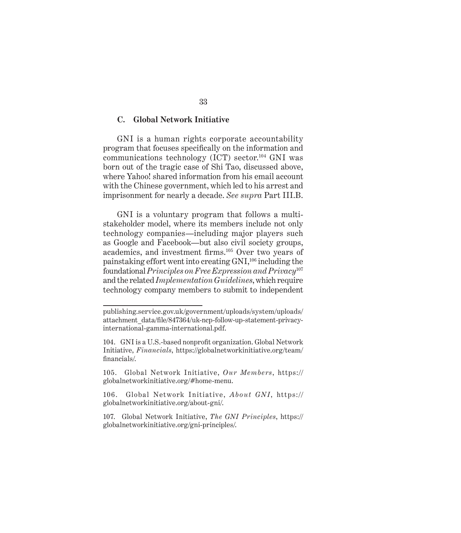#### **C. Global Network Initiative**

GNI is a human rights corporate accountability program that focuses specifically on the information and communications technology  $(ICT)$  sector.<sup>104</sup> GNI was born out of the tragic case of Shi Tao, discussed above, where Yahoo! shared information from his email account with the Chinese government, which led to his arrest and imprisonment for nearly a decade. *See supra* Part III.B.

GNI is a voluntary program that follows a multistakeholder model, where its members include not only technology companies—including major players such as Google and Facebook—but also civil society groups, academics, and investment firms.105 Over two years of painstaking effort went into creating GNI,106 including the foundational *Principles on Free Expression and Privacy*<sup>107</sup> and the related *Implementation Guidelines*, which require technology company members to submit to independent

publishing.service.gov.uk/government/uploads/system/uploads/ attachment\_data/file/847364/uk-ncp-follow-up-statement-privacyinternational-gamma-international.pdf.

<sup>104.</sup> GNI is a U.S.-based nonprofit organization. Global Network Initiative, *Financials*, https://globalnetworkinitiative.org/team/ financials/.

<sup>105.</sup> Global Network Initiative, *Our Members*, https:// globalnetworkinitiative.org/#home-menu.

<sup>106.</sup> Global Network Initiative, *About GNI*, https:// globalnetworkinitiative.org/about-gni/.

<sup>107.</sup> Global Network Initiative, *The GNI Principles*, https:// globalnetworkinitiative.org/gni-principles/.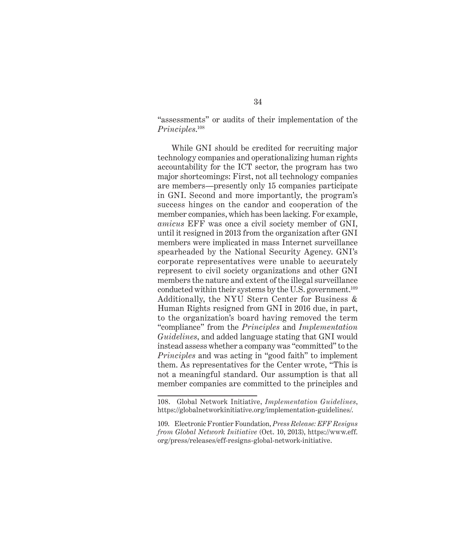"assessments" or audits of their implementation of the *Principles*. 108

While GNI should be credited for recruiting major technology companies and operationalizing human rights accountability for the ICT sector, the program has two major shortcomings: First, not all technology companies are members—presently only 15 companies participate in GNI. Second and more importantly, the program's success hinges on the candor and cooperation of the member companies, which has been lacking. For example, *amicus* EFF was once a civil society member of GNI, until it resigned in 2013 from the organization after GNI members were implicated in mass Internet surveillance spearheaded by the National Security Agency. GNI's corporate representatives were unable to accurately represent to civil society organizations and other GNI members the nature and extent of the illegal surveillance conducted within their systems by the U.S. government.109 Additionally, the NYU Stern Center for Business & Human Rights resigned from GNI in 2016 due, in part, to the organization's board having removed the term "compliance" from the *Principles* and *Implementation Guidelines*, and added language stating that GNI would instead assess whether a company was "committed" to the *Principles* and was acting in "good faith" to implement them. As representatives for the Center wrote, "This is not a meaningful standard. Our assumption is that all member companies are committed to the principles and

<sup>108.</sup> Global Network Initiative, *Implementation Guidelines*, https://globalnetworkinitiative.org/implementation-guidelines/.

<sup>109.</sup> Electronic Frontier Foundation, *Press Release: EFF Resigns from Global Network Initiative* (Oct. 10, 2013), https://www.eff. org/press/releases/eff-resigns-global-network-initiative.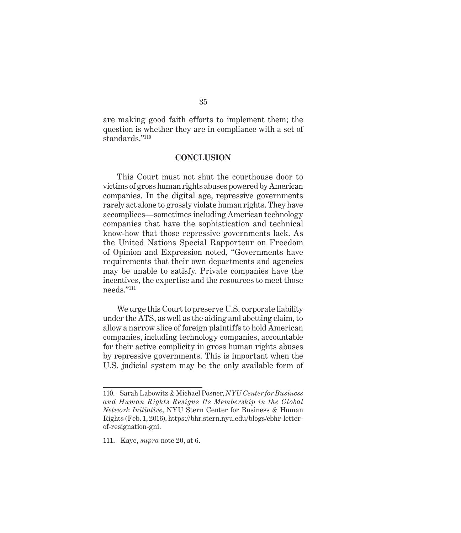are making good faith efforts to implement them; the question is whether they are in compliance with a set of standards."<sup>110</sup>

#### **CONCLUSION**

This Court must not shut the courthouse door to victims of gross human rights abuses powered by American companies. In the digital age, repressive governments rarely act alone to grossly violate human rights. They have accomplices—sometimes including American technology companies that have the sophistication and technical know-how that those repressive governments lack. As the United Nations Special Rapporteur on Freedom of Opinion and Expression noted, "Governments have requirements that their own departments and agencies may be unable to satisfy. Private companies have the incentives, the expertise and the resources to meet those needs."<sup>111</sup>

We urge this Court to preserve U.S. corporate liability under the ATS, as well as the aiding and abetting claim, to allow a narrow slice of foreign plaintiffs to hold American companies, including technology companies, accountable for their active complicity in gross human rights abuses by repressive governments. This is important when the U.S. judicial system may be the only available form of

<sup>110.</sup> Sarah Labowitz & Michael Posner, *NYU Center for Business and Human Rights Resigns Its Membership in the Global Network Initiative*, NYU Stern Center for Business & Human Rights (Feb. 1, 2016), https://bhr.stern.nyu.edu/blogs/cbhr-letterof-resignation-gni.

<sup>111.</sup> Kaye, *supra* note 20, at 6.